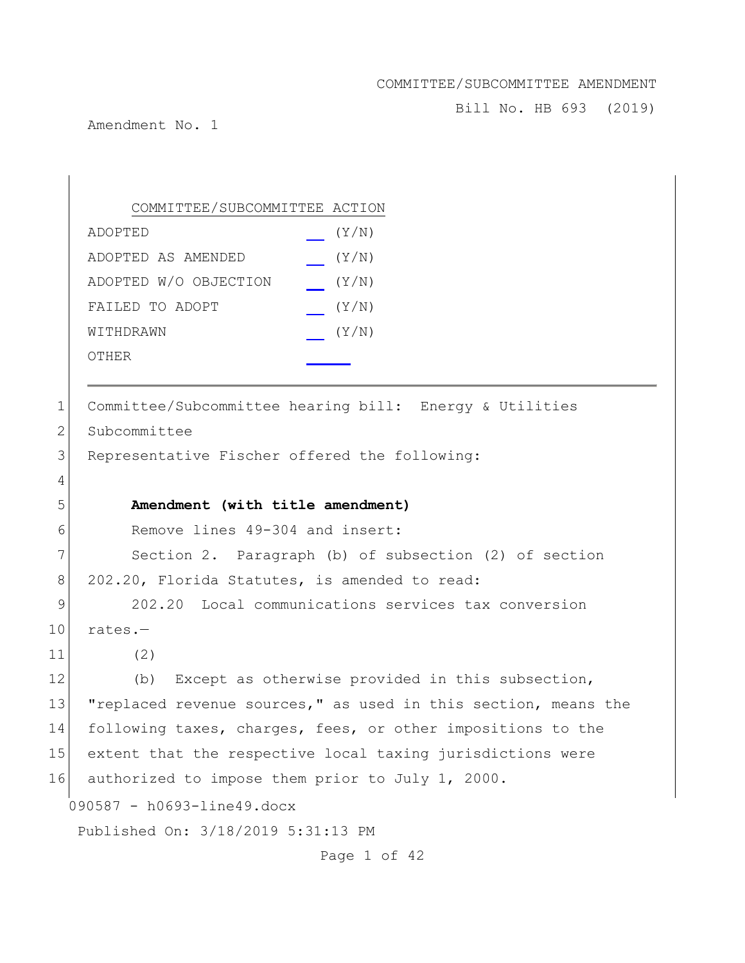Bill No. HB 693 (2019)

Amendment No. 1

090587 - h0693-line49.docx Published On: 3/18/2019 5:31:13 PM Page 1 of 42 COMMITTEE/SUBCOMMITTEE ACTION ADOPTED (Y/N) ADOPTED AS AMENDED (Y/N) ADOPTED W/O OBJECTION (Y/N) FAILED TO ADOPT  $(Y/N)$ WITHDRAWN  $(Y/N)$ OTHER 1 Committee/Subcommittee hearing bill: Energy & Utilities 2 Subcommittee 3 Representative Fischer offered the following: 4 5 **Amendment (with title amendment)** 6 Remove lines 49-304 and insert: 7 Section 2. Paragraph (b) of subsection (2) of section 8 202.20, Florida Statutes, is amended to read: 9 202.20 Local communications services tax conversion  $10$  rates.-11 (2) 12 (b) Except as otherwise provided in this subsection, 13 "replaced revenue sources," as used in this section, means the 14 following taxes, charges, fees, or other impositions to the 15 extent that the respective local taxing jurisdictions were 16 authorized to impose them prior to July 1, 2000.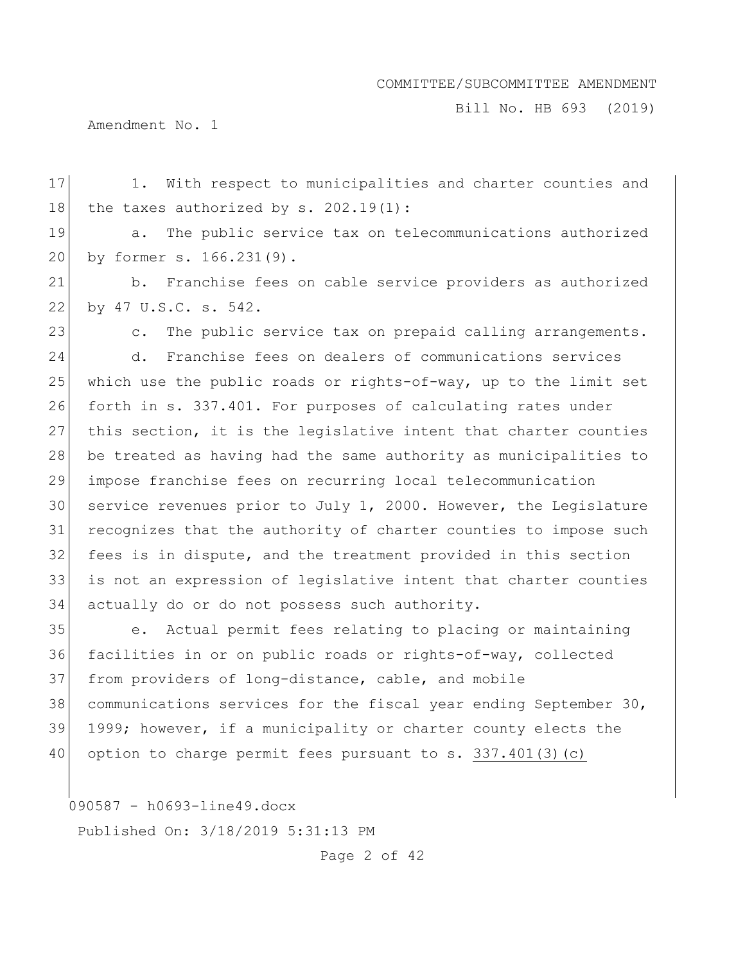Bill No. HB 693 (2019)

Amendment No. 1

17 1. With respect to municipalities and charter counties and 18 the taxes authorized by  $s. 202.19(1)$ : 19 a. The public service tax on telecommunications authorized by former s. 166.231(9). b. Franchise fees on cable service providers as authorized by 47 U.S.C. s. 542. 23 c. The public service tax on prepaid calling arrangements. d. Franchise fees on dealers of communications services 25 which use the public roads or rights-of-way, up to the limit set forth in s. 337.401. For purposes of calculating rates under this section, it is the legislative intent that charter counties be treated as having had the same authority as municipalities to impose franchise fees on recurring local telecommunication service revenues prior to July 1, 2000. However, the Legislature recognizes that the authority of charter counties to impose such fees is in dispute, and the treatment provided in this section is not an expression of legislative intent that charter counties actually do or do not possess such authority. e. Actual permit fees relating to placing or maintaining facilities in or on public roads or rights-of-way, collected from providers of long-distance, cable, and mobile communications services for the fiscal year ending September 30, 39 1999; however, if a municipality or charter county elects the 40 option to charge permit fees pursuant to s. 337.401(3)(c)

090587 - h0693-line49.docx

Published On: 3/18/2019 5:31:13 PM

Page 2 of 42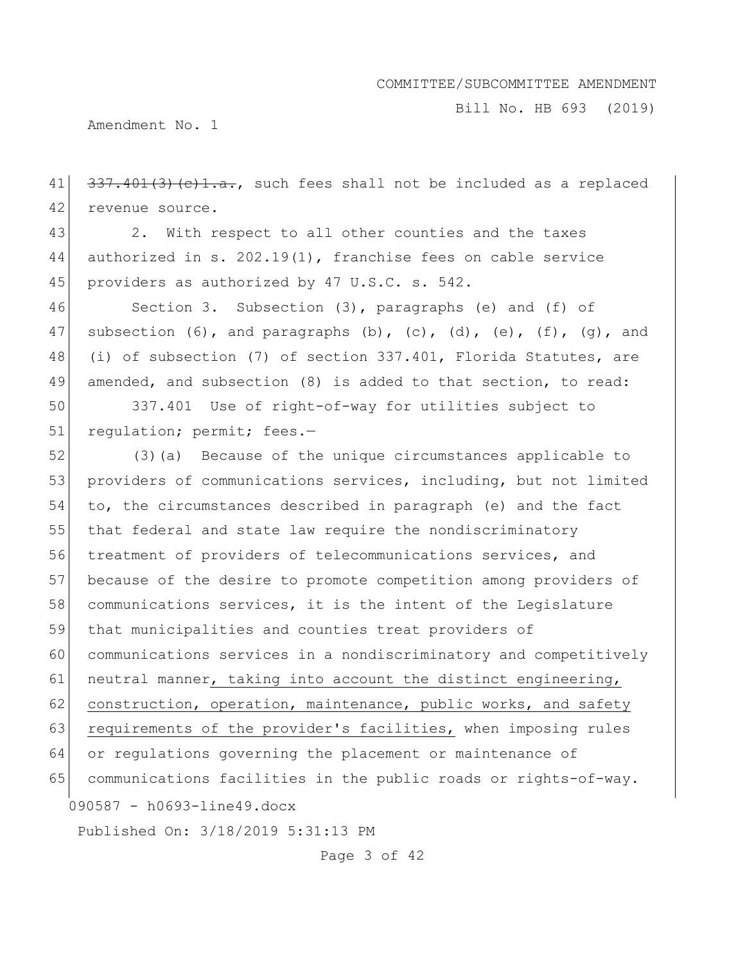Bill No. HB 693 (2019)

Amendment No. 1

 $41 \mid 337.401(3)(e)1.a.,$  such fees shall not be included as a replaced 42 revenue source.

43 2. With respect to all other counties and the taxes 44 authorized in s. 202.19(1), franchise fees on cable service 45 providers as authorized by 47 U.S.C. s. 542.

46 Section 3. Subsection (3), paragraphs (e) and (f) of 47 subsection  $(6)$ , and paragraphs  $(b)$ ,  $(c)$ ,  $(d)$ ,  $(e)$ ,  $(f)$ ,  $(q)$ , and 48 (i) of subsection (7) of section 337.401, Florida Statutes, are 49 amended, and subsection (8) is added to that section, to read:

50 337.401 Use of right-of-way for utilities subject to 51 regulation; permit; fees.-

090587 - h0693-line49.docx Published On: 3/18/2019 5:31:13 PM 52 (3)(a) Because of the unique circumstances applicable to 53 providers of communications services, including, but not limited 54 to, the circumstances described in paragraph (e) and the fact 55 that federal and state law require the nondiscriminatory 56 treatment of providers of telecommunications services, and 57 because of the desire to promote competition among providers of 58 communications services, it is the intent of the Legislature 59 that municipalities and counties treat providers of 60 communications services in a nondiscriminatory and competitively 61 neutral manner, taking into account the distinct engineering, 62 construction, operation, maintenance, public works, and safety 63 requirements of the provider's facilities, when imposing rules 64 or regulations governing the placement or maintenance of 65 communications facilities in the public roads or rights-of-way.

Page 3 of 42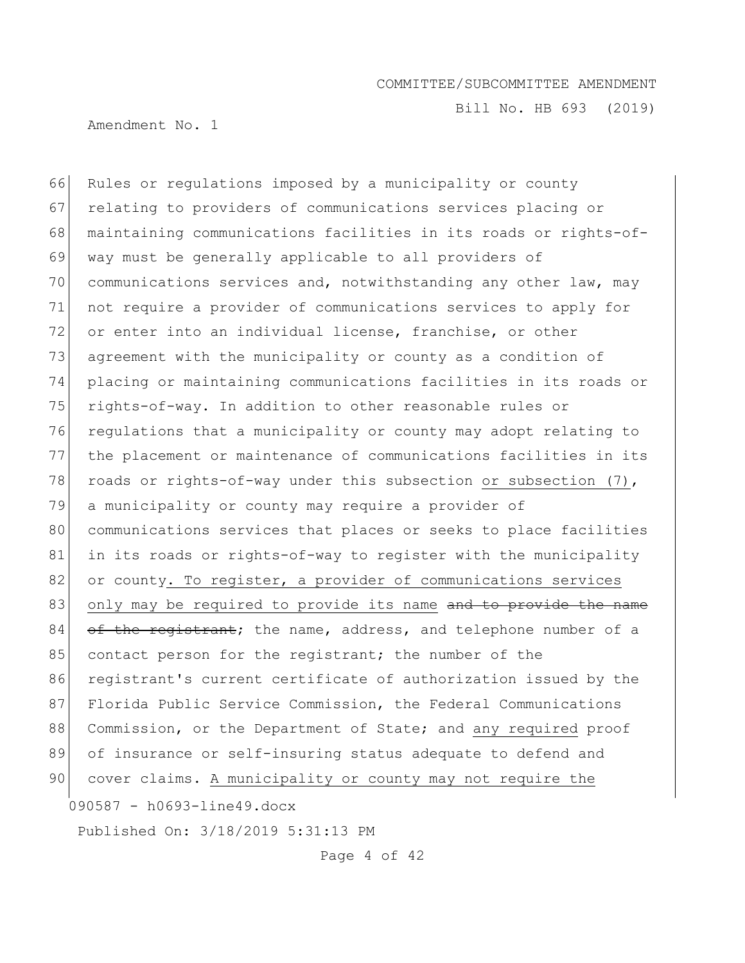Bill No. HB 693 (2019)

Amendment No. 1

090587 - h0693-line49.docx 66 Rules or regulations imposed by a municipality or county 67 relating to providers of communications services placing or 68 maintaining communications facilities in its roads or rights-of-69 way must be generally applicable to all providers of 70 communications services and, notwithstanding any other law, may 71 not require a provider of communications services to apply for 72 or enter into an individual license, franchise, or other 73 agreement with the municipality or county as a condition of 74 placing or maintaining communications facilities in its roads or 75 rights-of-way. In addition to other reasonable rules or 76 regulations that a municipality or county may adopt relating to 77 the placement or maintenance of communications facilities in its 78 roads or rights-of-way under this subsection or subsection  $(7)$ , 79 a municipality or county may require a provider of 80 communications services that places or seeks to place facilities 81 in its roads or rights-of-way to register with the municipality 82 or county. To register, a provider of communications services 83 only may be required to provide its name and to provide the name  $84$  of the registrant; the name, address, and telephone number of a 85 contact person for the registrant; the number of the 86 registrant's current certificate of authorization issued by the 87 Florida Public Service Commission, the Federal Communications 88 Commission, or the Department of State; and any required proof 89 of insurance or self-insuring status adequate to defend and 90 cover claims. A municipality or county may not require the

Published On: 3/18/2019 5:31:13 PM

Page 4 of 42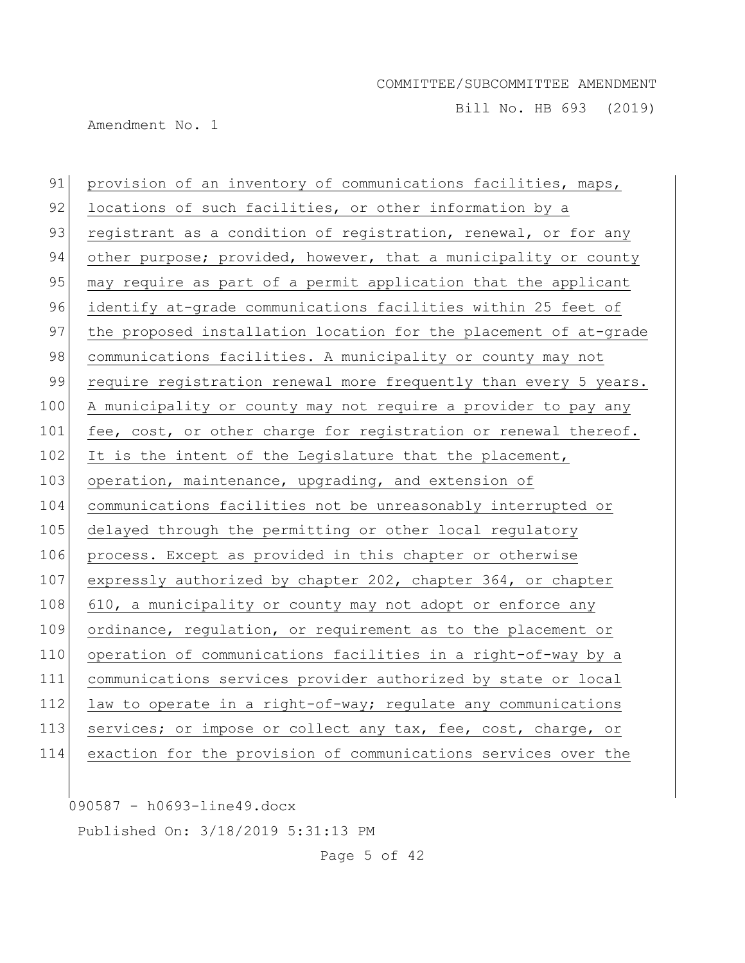Bill No. HB 693 (2019)

Amendment No. 1

91 provision of an inventory of communications facilities, maps, 92 locations of such facilities, or other information by a 93 registrant as a condition of registration, renewal, or for any 94 other purpose; provided, however, that a municipality or county 95 may require as part of a permit application that the applicant 96 identify at-grade communications facilities within 25 feet of 97 the proposed installation location for the placement of at-grade 98 communications facilities. A municipality or county may not 99 require registration renewal more frequently than every 5 years. 100 A municipality or county may not require a provider to pay any 101 fee, cost, or other charge for registration or renewal thereof.  $102$  It is the intent of the Legislature that the placement, 103 operation, maintenance, upgrading, and extension of 104 communications facilities not be unreasonably interrupted or 105 delayed through the permitting or other local regulatory 106 process. Except as provided in this chapter or otherwise 107 expressly authorized by chapter 202, chapter 364, or chapter 108 610, a municipality or county may not adopt or enforce any 109 ordinance, regulation, or requirement as to the placement or 110 operation of communications facilities in a right-of-way by a 111 communications services provider authorized by state or local 112 law to operate in a right-of-way; regulate any communications 113 services; or impose or collect any tax, fee, cost, charge, or 114 exaction for the provision of communications services over the

090587 - h0693-line49.docx

Published On: 3/18/2019 5:31:13 PM

Page 5 of 42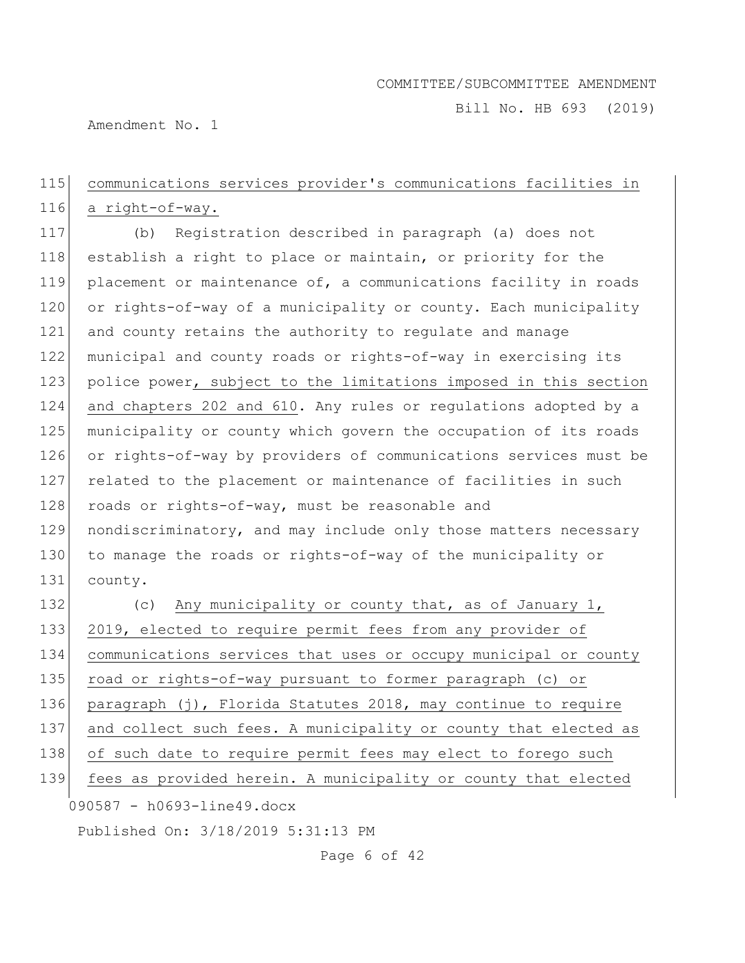Bill No. HB 693 (2019)

Amendment No. 1

## 115 communications services provider's communications facilities in 116 a right-of-way.

117 (b) Registration described in paragraph (a) does not 118 establish a right to place or maintain, or priority for the 119 placement or maintenance of, a communications facility in roads 120 or rights-of-way of a municipality or county. Each municipality 121 and county retains the authority to regulate and manage 122 municipal and county roads or rights-of-way in exercising its 123 police power, subject to the limitations imposed in this section 124 and chapters 202 and 610. Any rules or regulations adopted by a 125 municipality or county which govern the occupation of its roads 126 or rights-of-way by providers of communications services must be 127 related to the placement or maintenance of facilities in such 128 roads or rights-of-way, must be reasonable and 129 nondiscriminatory, and may include only those matters necessary 130 to manage the roads or rights-of-way of the municipality or 131 county.

090587 - h0693-line49.docx 132 (c) Any municipality or county that, as of January 1, 133 2019, elected to require permit fees from any provider of 134 communications services that uses or occupy municipal or county 135 road or rights-of-way pursuant to former paragraph (c) or 136 paragraph (j), Florida Statutes 2018, may continue to require 137 and collect such fees. A municipality or county that elected as 138 of such date to require permit fees may elect to forego such 139 fees as provided herein. A municipality or county that elected

Published On: 3/18/2019 5:31:13 PM

Page 6 of 42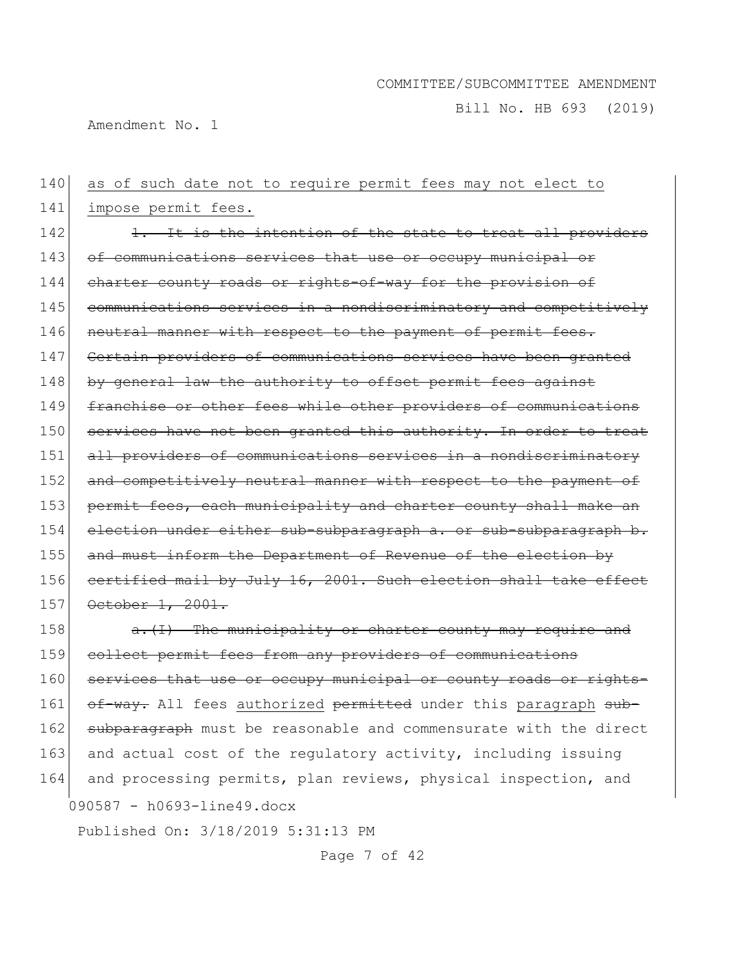Bill No. HB 693 (2019)

Amendment No. 1

140 as of such date not to require permit fees may not elect to 141 impose permit fees. 142 142 1. It is the intention of the state to treat all providers 143 of communications services that use or occupy municipal or 144 charter county roads or rights-of-way for the provision of 145 communications services in a nondiscriminatory and competitively 146 neutral manner with respect to the payment of permit fees. 147 Certain providers of communications services have been granted 148 by general law the authority to offset permit fees against 149 franchise or other fees while other providers of communications 150 services have not been granted this authority. In order to treat 151 all providers of communications services in a nondiscriminatory 152 and competitively neutral manner with respect to the payment of 153 permit fees, each municipality and charter county shall make an 154 election under either sub-subparagraph a. or sub-subparagraph b. 155 and must inform the Department of Revenue of the election by 156 certified mail by July 16, 2001. Such election shall take effect 157 October 1, 2001. 158 a. (I) The municipality or charter county may require and 159 collect permit fees from any providers of communications

090587 - h0693-line49.docx 160 services that use or occupy municipal or county roads or rights-161 of-way. All fees authorized permitted under this paragraph sub-162 subparagraph must be reasonable and commensurate with the direct 163 and actual cost of the regulatory activity, including issuing 164 and processing permits, plan reviews, physical inspection, and

Published On: 3/18/2019 5:31:13 PM

Page 7 of 42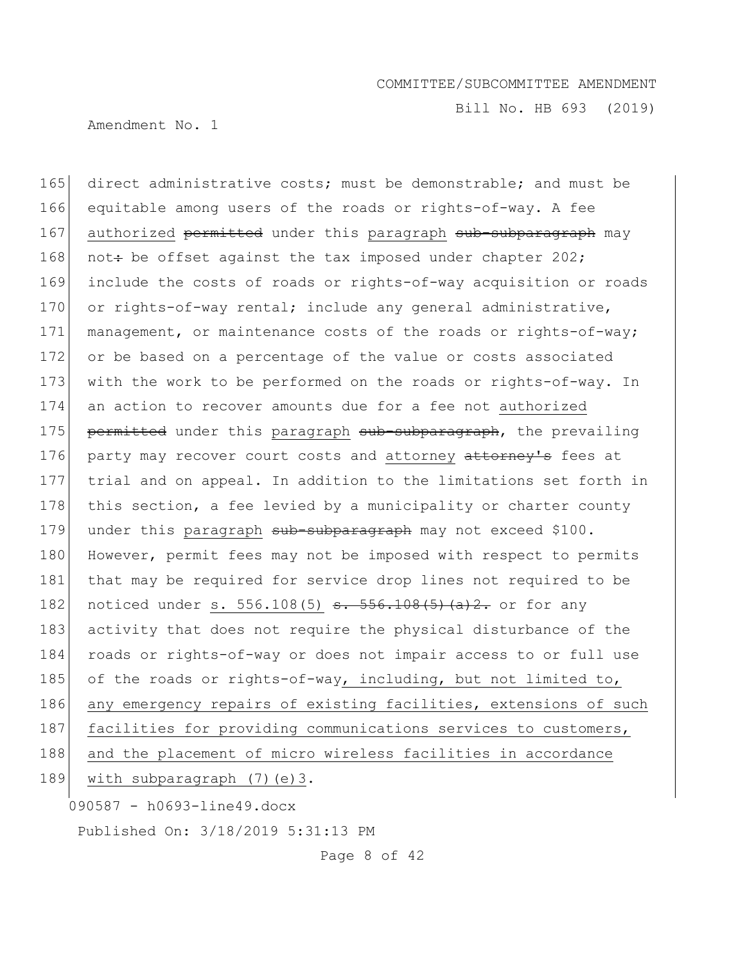Bill No. HB 693 (2019)

Amendment No. 1

090587 - h0693-line49.docx 165 direct administrative costs; must be demonstrable; and must be 166 equitable among users of the roads or rights-of-way. A fee 167 authorized permitted under this paragraph sub-subparagraph may 168 not: be offset against the tax imposed under chapter 202; 169 include the costs of roads or rights-of-way acquisition or roads 170 or rights-of-way rental; include any general administrative, 171 management, or maintenance costs of the roads or rights-of-way; 172 or be based on a percentage of the value or costs associated 173 with the work to be performed on the roads or rights-of-way. In 174 an action to recover amounts due for a fee not authorized 175 permitted under this paragraph sub-subparagraph, the prevailing 176 party may recover court costs and attorney attorney's fees at 177 trial and on appeal. In addition to the limitations set forth in 178 this section, a fee levied by a municipality or charter county 179 under this paragraph sub-subparagraph may not exceed \$100. 180 However, permit fees may not be imposed with respect to permits 181 that may be required for service drop lines not required to be 182 noticed under s. 556.108(5) <del>s. 556.108(5)(a)2.</del> or for any 183 activity that does not require the physical disturbance of the 184 roads or rights-of-way or does not impair access to or full use 185 of the roads or rights-of-way, including, but not limited to, 186 any emergency repairs of existing facilities, extensions of such 187 facilities for providing communications services to customers, 188 and the placement of micro wireless facilities in accordance 189 with subparagraph (7) (e) 3.

Page 8 of 42

Published On: 3/18/2019 5:31:13 PM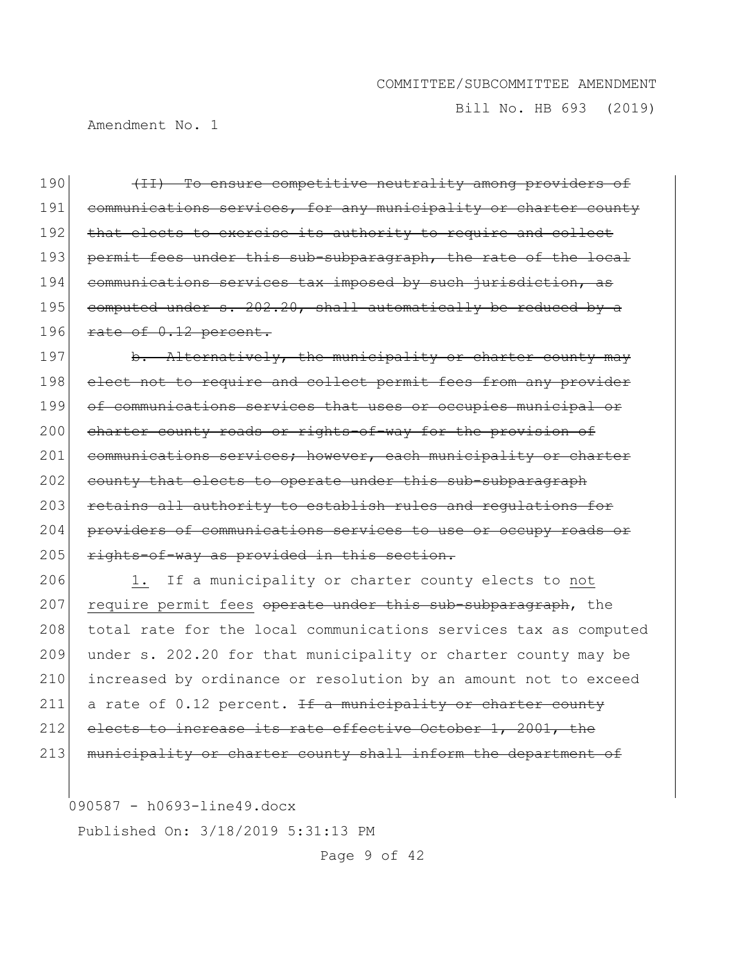Bill No. HB 693 (2019)

Amendment No. 1

190 (II) To ensure competitive neutrality among providers of 191 communications services, for any municipality or charter county 192 that elects to exercise its authority to require and collect 193 permit fees under this sub-subparagraph, the rate of the local 194 communications services tax imposed by such jurisdiction, as 195 computed under  $s. 202.20$ , shall automatically be reduced by a 196 rate of  $0.12$  percent.

197 b. Alternatively, the municipality or charter county may 198 elect not to require and collect permit fees from any provider 199 of communications services that uses or occupies municipal or 200 charter county roads or rights-of-way for the provision of 201 communications services; however, each municipality or charter 202 county that elects to operate under this sub-subparagraph 203 retains all authority to establish rules and regulations for 204 providers of communications services to use or occupy roads or  $205$  rights-of-way as provided in this section.

206 1. If a municipality or charter county elects to not 207 require permit fees operate under this sub-subparagraph, the 208 total rate for the local communications services tax as computed 209 under s. 202.20 for that municipality or charter county may be 210 increased by ordinance or resolution by an amount not to exceed 211 a rate of 0.12 percent. If a municipality or charter county 212 elects to increase its rate effective October 1, 2001, the 213 municipality or charter county shall inform the department of

090587 - h0693-line49.docx

Published On: 3/18/2019 5:31:13 PM

Page 9 of 42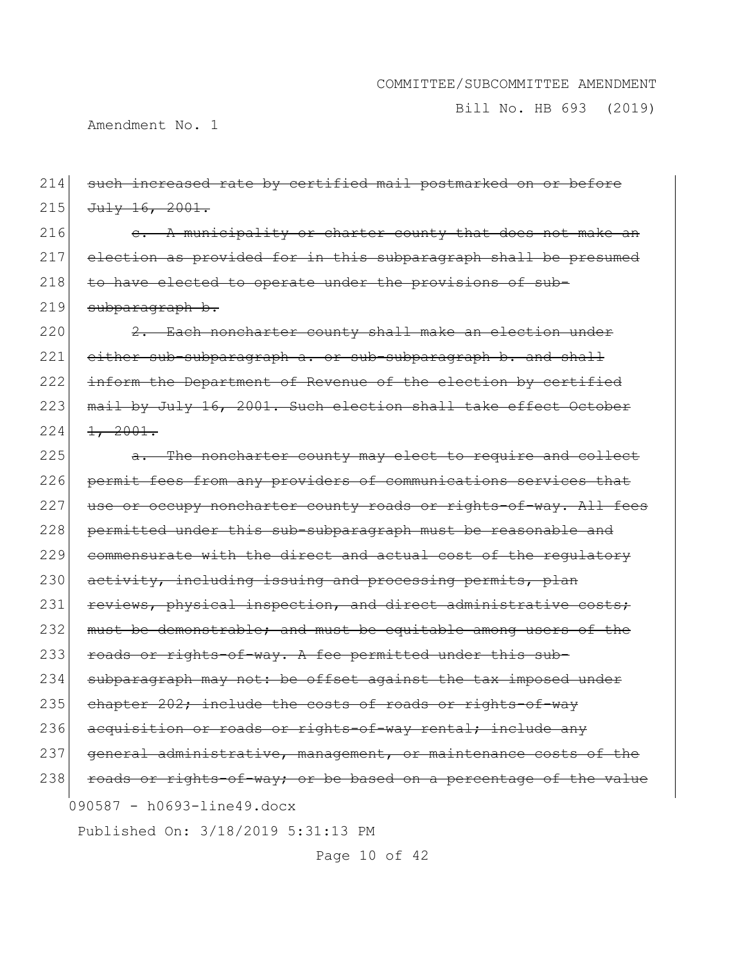Bill No. HB 693 (2019)

Amendment No. 1

090587 - h0693-line49.docx Published On: 3/18/2019 5:31:13 PM Page 10 of 42 214 such increased rate by certified mail postmarked on or before  $215$  July 16, 2001.  $216$  e. A municipality or charter county that does not make an 217 election as provided for in this subparagraph shall be presumed 218 to have elected to operate under the provisions of sub-219 subparagraph b.  $220$   $2.$  Each noncharter county shall make an election under  $221$  either sub-subparagraph a. or sub-subparagraph b. and shall 222 inform the Department of Revenue of the election by certified 223 mail by July 16, 2001. Such election shall take effect October  $224$   $\frac{1}{2001}$ . 225 a. The noncharter county may elect to require and collect 226 permit fees from any providers of communications services that 227 use or occupy noncharter county roads or rights-of-way. All fees 228 permitted under this sub-subparagraph must be reasonable and 229 commensurate with the direct and actual cost of the regulatory 230 activity, including issuing and processing permits, plan 231 reviews, physical inspection, and direct administrative costs; 232 must be demonstrable; and must be equitable among users of the 233 roads or rights-of-way. A fee permitted under this sub-234 subparagraph may not: be offset against the tax imposed under 235 chapter 202; include the costs of roads or rights-of-way 236 acquisition or roads or rights-of-way rental; include any 237 general administrative, management, or maintenance costs of the 238 roads or rights-of-way; or be based on a percentage of the value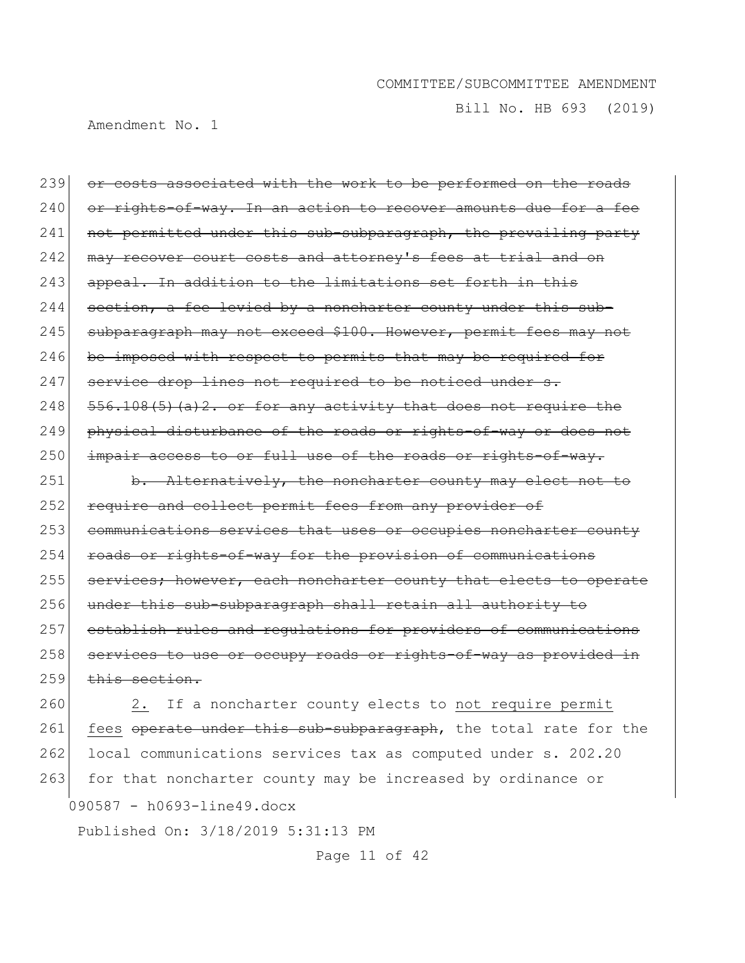Bill No. HB 693 (2019)

Amendment No. 1

239 or costs associated with the work to be performed on the roads 240 or rights-of-way. In an action to recover amounts due for a fee 241 not permitted under this sub-subparagraph, the prevailing party 242 may recover court costs and attorney's fees at trial and on 243 appeal. In addition to the limitations set forth in this  $244$  section, a fee levied by a noncharter county under this sub-245 subparagraph may not exceed \$100. However, permit fees may not  $246$  be imposed with respect to permits that may be required for  $247$  service drop lines not required to be noticed under s.  $248$   $556.108(5)$  (a) 2. or for any activity that does not require the 249 physical disturbance of the roads or rights-of-way or does not  $250$  impair access to or full use of the roads or rights-of-way. 251 b. Alternatively, the noncharter county may elect not to 252 require and collect permit fees from any provider of 253 communications services that uses or occupies noncharter county 254 roads or rights-of-way for the provision of communications 255 services; however, each noncharter county that elects to operate 256 under this sub-subparagraph shall retain all authority to

257 establish rules and regulations for providers of communications 258 services to use or occupy roads or rights-of-way as provided in  $259$  this section.

260 2. If a noncharter county elects to not require permit 261 fees operate under this sub-subparagraph, the total rate for the 262 local communications services tax as computed under s. 202.20 263 for that noncharter county may be increased by ordinance or

090587 - h0693-line49.docx

Published On: 3/18/2019 5:31:13 PM

Page 11 of 42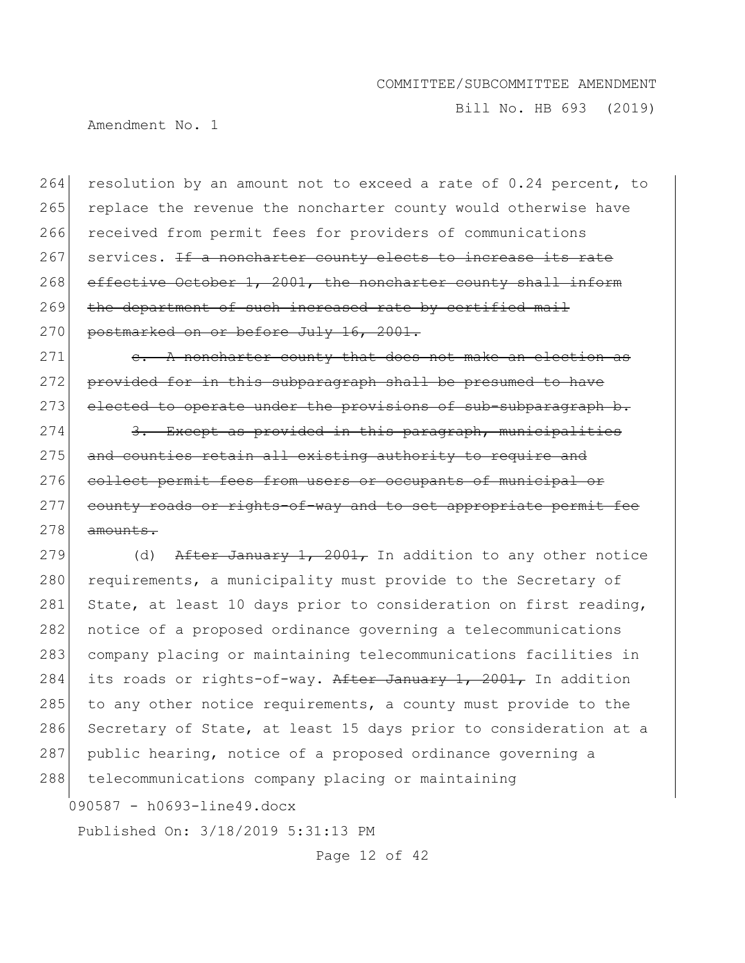Bill No. HB 693 (2019)

Amendment No. 1

264 resolution by an amount not to exceed a rate of 0.24 percent, to 265 replace the revenue the noncharter county would otherwise have 266 received from permit fees for providers of communications 267 services. If a noncharter county elects to increase its rate 268 effective October 1, 2001, the noncharter county shall inform 269 the department of such increased rate by certified mail 270 postmarked on or before July 16, 2001.

 $271$  e. A noncharter county that does not make an election as 272 provided for in this subparagraph shall be presumed to have 273 elected to operate under the provisions of sub-subparagraph b.

274 3. Except as provided in this paragraph, municipalities 275 and counties retain all existing authority to require and 276 collect permit fees from users or occupants of municipal or 277 county roads or rights-of-way and to set appropriate permit fee  $278$  amounts.

279  $(d)$  After January 1, 2001, In addition to any other notice 280 requirements, a municipality must provide to the Secretary of 281 State, at least 10 days prior to consideration on first reading, 282 notice of a proposed ordinance governing a telecommunications 283 company placing or maintaining telecommunications facilities in 284 its roads or rights-of-way. After January 1, 2001, In addition 285 to any other notice requirements, a county must provide to the 286 Secretary of State, at least 15 days prior to consideration at a 287 public hearing, notice of a proposed ordinance governing a 288 telecommunications company placing or maintaining

090587 - h0693-line49.docx

Published On: 3/18/2019 5:31:13 PM

Page 12 of 42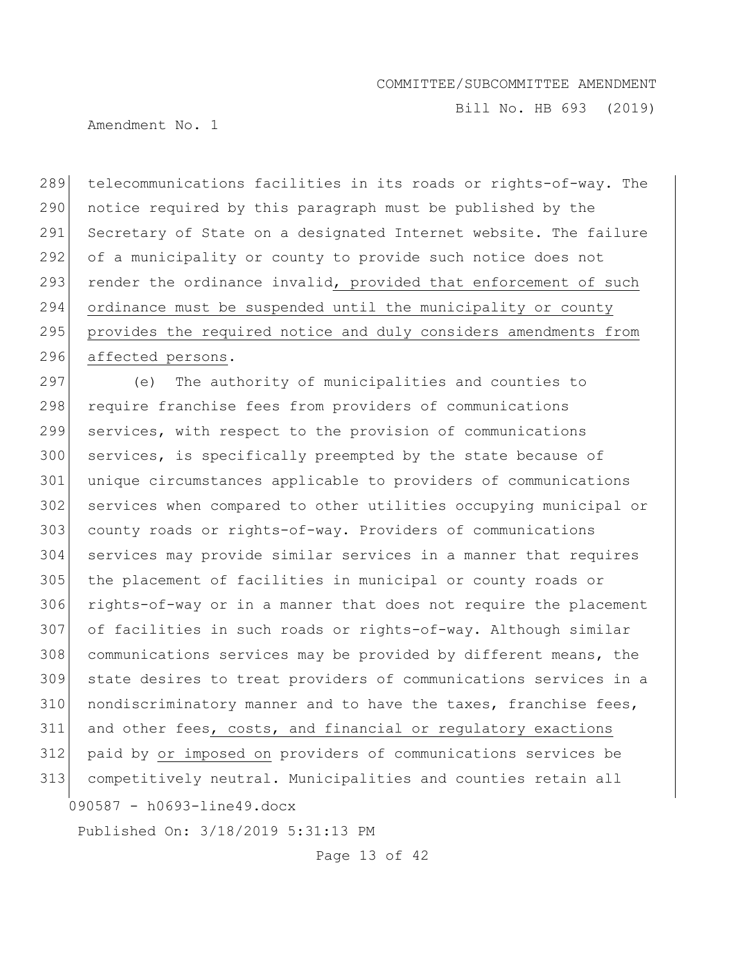Bill No. HB 693 (2019)

Amendment No. 1

289 | telecommunications facilities in its roads or rights-of-way. The 290 notice required by this paragraph must be published by the 291 Secretary of State on a designated Internet website. The failure 292 of a municipality or county to provide such notice does not 293 render the ordinance invalid, provided that enforcement of such 294 ordinance must be suspended until the municipality or county 295 | provides the required notice and duly considers amendments from 296 affected persons.

090587 - h0693-line49.docx 297 (e) The authority of municipalities and counties to 298 require franchise fees from providers of communications services, with respect to the provision of communications services, is specifically preempted by the state because of unique circumstances applicable to providers of communications services when compared to other utilities occupying municipal or county roads or rights-of-way. Providers of communications services may provide similar services in a manner that requires the placement of facilities in municipal or county roads or rights-of-way or in a manner that does not require the placement of facilities in such roads or rights-of-way. Although similar communications services may be provided by different means, the state desires to treat providers of communications services in a 310 nondiscriminatory manner and to have the taxes, franchise fees, and other fees, costs, and financial or regulatory exactions paid by or imposed on providers of communications services be competitively neutral. Municipalities and counties retain all

Published On: 3/18/2019 5:31:13 PM

Page 13 of 42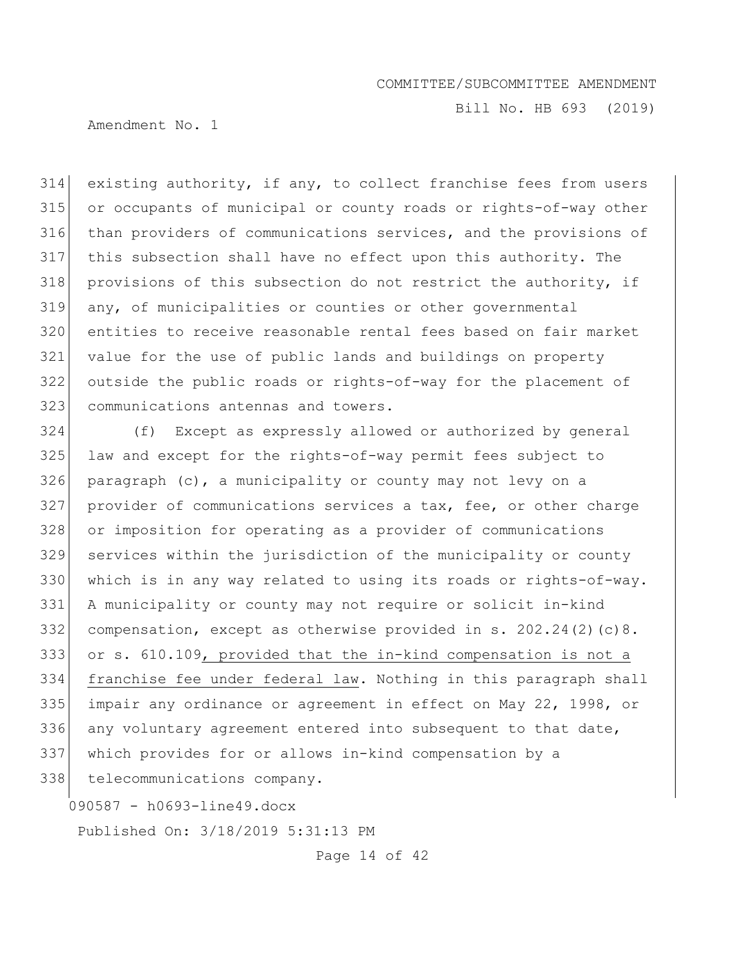Bill No. HB 693 (2019)

Amendment No. 1

314 existing authority, if any, to collect franchise fees from users or occupants of municipal or county roads or rights-of-way other than providers of communications services, and the provisions of this subsection shall have no effect upon this authority. The provisions of this subsection do not restrict the authority, if any, of municipalities or counties or other governmental entities to receive reasonable rental fees based on fair market value for the use of public lands and buildings on property outside the public roads or rights-of-way for the placement of communications antennas and towers.

 (f) Except as expressly allowed or authorized by general law and except for the rights-of-way permit fees subject to paragraph (c), a municipality or county may not levy on a provider of communications services a tax, fee, or other charge 328 or imposition for operating as a provider of communications services within the jurisdiction of the municipality or county 330 which is in any way related to using its roads or rights-of-way. A municipality or county may not require or solicit in-kind 332 compensation, except as otherwise provided in s.  $202.24(2)(c)8$ . or s. 610.109, provided that the in-kind compensation is not a franchise fee under federal law. Nothing in this paragraph shall 335 impair any ordinance or agreement in effect on May 22, 1998, or 336 any voluntary agreement entered into subsequent to that date, which provides for or allows in-kind compensation by a

338 telecommunications company.

090587 - h0693-line49.docx

Published On: 3/18/2019 5:31:13 PM

Page 14 of 42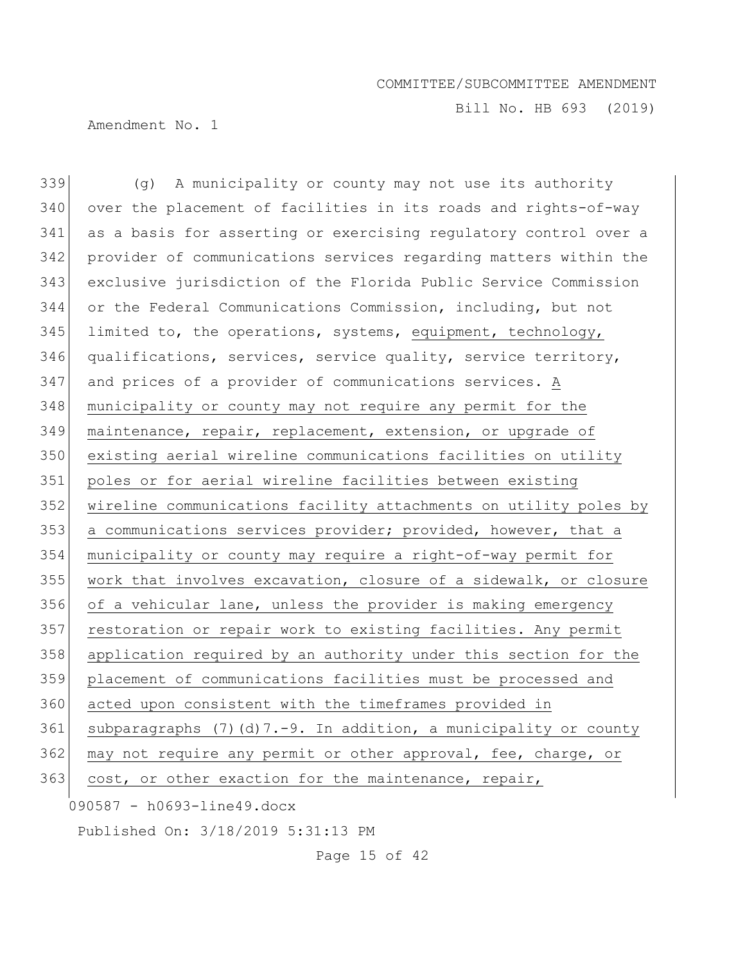Bill No. HB 693 (2019)

Amendment No. 1

090587 - h0693-line49.docx 339 (g) A municipality or county may not use its authority 340 over the placement of facilities in its roads and rights-of-way 341 as a basis for asserting or exercising regulatory control over a 342 provider of communications services regarding matters within the 343 exclusive jurisdiction of the Florida Public Service Commission 344 or the Federal Communications Commission, including, but not  $345$  limited to, the operations, systems, equipment, technology, 346 qualifications, services, service quality, service territory, 347 and prices of a provider of communications services. A 348 municipality or county may not require any permit for the 349 maintenance, repair, replacement, extension, or upgrade of 350 existing aerial wireline communications facilities on utility 351 poles or for aerial wireline facilities between existing 352 wireline communications facility attachments on utility poles by 353 a communications services provider; provided, however, that a 354 municipality or county may require a right-of-way permit for 355 work that involves excavation, closure of a sidewalk, or closure 356 of a vehicular lane, unless the provider is making emergency 357 restoration or repair work to existing facilities. Any permit 358 application required by an authority under this section for the 359 placement of communications facilities must be processed and 360 acted upon consistent with the timeframes provided in 361 subparagraphs (7)(d)  $7.-9$ . In addition, a municipality or county 362 may not require any permit or other approval, fee, charge, or 363 cost, or other exaction for the maintenance, repair,

Published On: 3/18/2019 5:31:13 PM

Page 15 of 42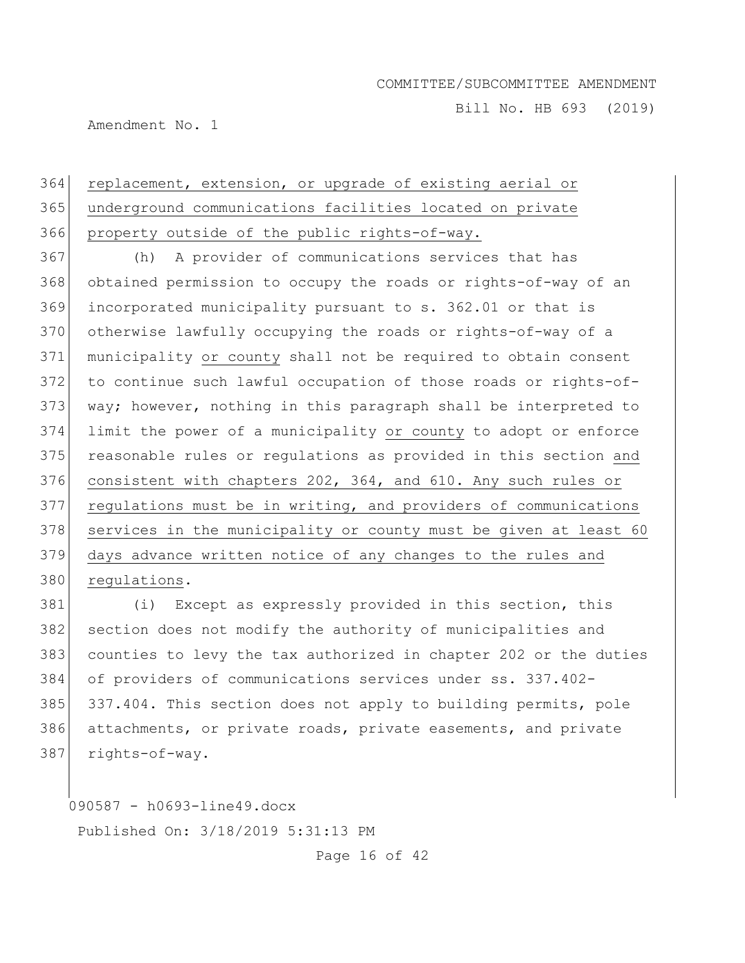Bill No. HB 693 (2019)

Amendment No. 1

# replacement, extension, or upgrade of existing aerial or underground communications facilities located on private property outside of the public rights-of-way.

 (h) A provider of communications services that has obtained permission to occupy the roads or rights-of-way of an incorporated municipality pursuant to s. 362.01 or that is 370 otherwise lawfully occupying the roads or rights-of-way of a municipality or county shall not be required to obtain consent to continue such lawful occupation of those roads or rights-of- way; however, nothing in this paragraph shall be interpreted to limit the power of a municipality or county to adopt or enforce 375 reasonable rules or regulations as provided in this section and consistent with chapters 202, 364, and 610. Any such rules or regulations must be in writing, and providers of communications 378 services in the municipality or county must be given at least 60 days advance written notice of any changes to the rules and regulations.

381 (i) Except as expressly provided in this section, this section does not modify the authority of municipalities and counties to levy the tax authorized in chapter 202 or the duties of providers of communications services under ss. 337.402- 385 337.404. This section does not apply to building permits, pole attachments, or private roads, private easements, and private rights-of-way.

090587 - h0693-line49.docx

Published On: 3/18/2019 5:31:13 PM

Page 16 of 42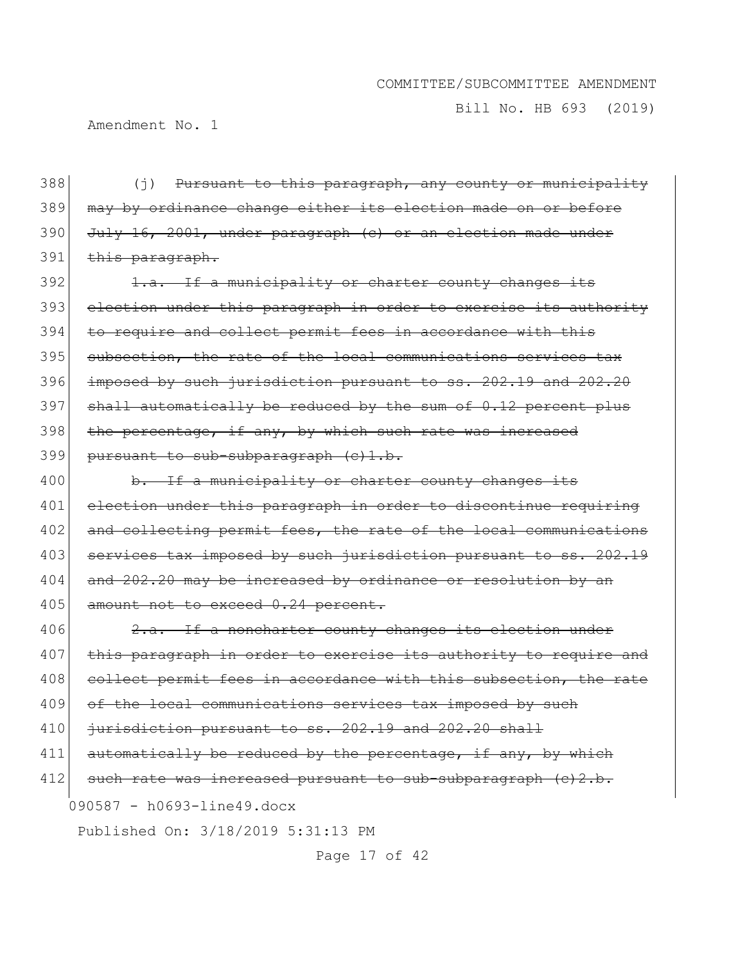Bill No. HB 693 (2019)

Amendment No. 1

388 (j) Pursuant to this paragraph, any county or municipality 389 may by ordinance change either its election made on or before 390 July 16, 2001, under paragraph (c) or an election made under 391 this paragraph.

392 1.a. If a municipality or charter county changes its 393 election under this paragraph in order to exercise its authority 394 to require and collect permit fees in accordance with this 395 subsection, the rate of the local communications services tax 396 imposed by such jurisdiction pursuant to ss. 202.19 and 202.20  $397$  shall automatically be reduced by the sum of 0.12 percent plus 398 the percentage, if any, by which such rate was increased 399 pursuant to sub-subparagraph (c)1.b.

400 b. If a municipality or charter county changes its 401 election under this paragraph in order to discontinue requiring 402 and collecting permit fees, the rate of the local communications 403 services tax imposed by such jurisdiction pursuant to ss. 202.19 404 and 202.20 may be increased by ordinance or resolution by an 405 amount not to exceed 0.24 percent.

090587 - h0693-line49.docx Published On: 3/18/2019 5:31:13 PM 406 2.a. If a noncharter county changes its election under 407 this paragraph in order to exercise its authority to require and 408 collect permit fees in accordance with this subsection, the rate 409 of the local communications services tax imposed by such 410  $\frac{1}{10}$  jurisdiction pursuant to ss. 202.19 and 202.20 shall 411 automatically be reduced by the percentage, if any, by which 412 such rate was increased pursuant to sub-subparagraph  $(c)$  2.b.

Page 17 of 42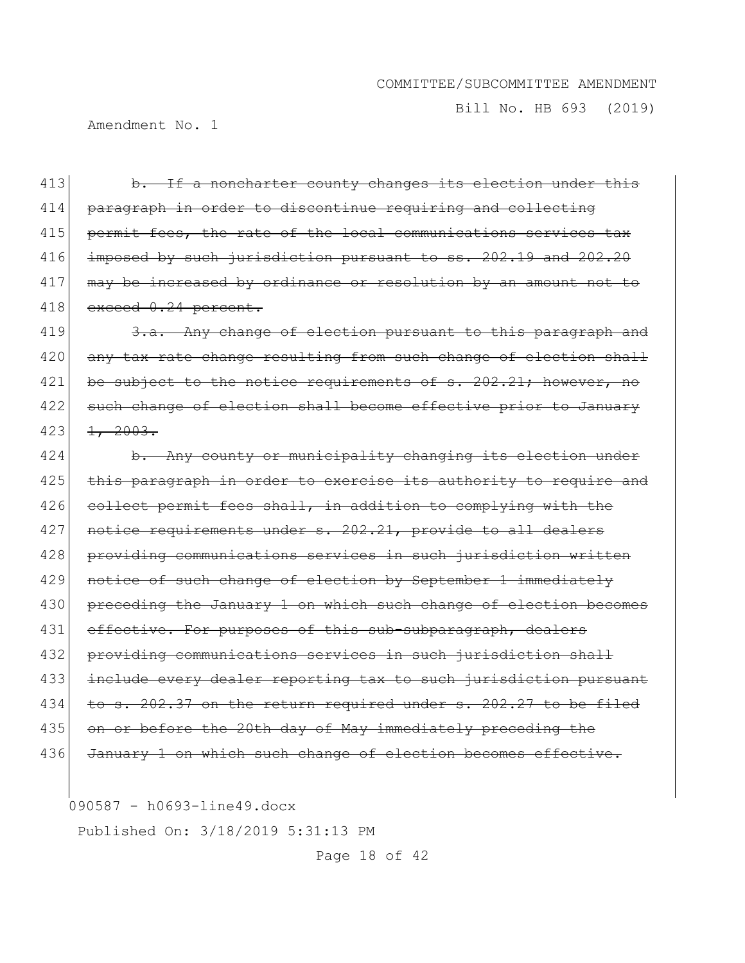Bill No. HB 693 (2019)

Amendment No. 1

413 b. If a noncharter county changes its election under this 414 paragraph in order to discontinue requiring and collecting 415 permit fees, the rate of the local communications services tax 416 imposed by such jurisdiction pursuant to ss. 202.19 and 202.20 417 may be increased by ordinance or resolution by an amount not to 418 exceed 0.24 percent.

419 3.a. Any change of election pursuant to this paragraph and 420 any tax rate change resulting from such change of election shall 421 be subject to the notice requirements of s. 202.21; however, no 422 such change of election shall become effective prior to January  $423$   $1, 2003.$ 

424 b. Any county or municipality changing its election under 425 this paragraph in order to exercise its authority to require and 426 collect permit fees shall, in addition to complying with the 427 notice requirements under s. 202.21, provide to all dealers 428 providing communications services in such jurisdiction written 429 notice of such change of election by September 1 immediately 430 preceding the January 1 on which such change of election becomes 431 effective. For purposes of this sub-subparagraph, dealers 432 providing communications services in such jurisdiction shall 433 include every dealer reporting tax to such jurisdiction pursuant 434 to s. 202.37 on the return required under s. 202.27 to be filed 435 on or before the 20th day of May immediately preceding the 436 January 1 on which such change of election becomes effective.

090587 - h0693-line49.docx

Published On: 3/18/2019 5:31:13 PM

Page 18 of 42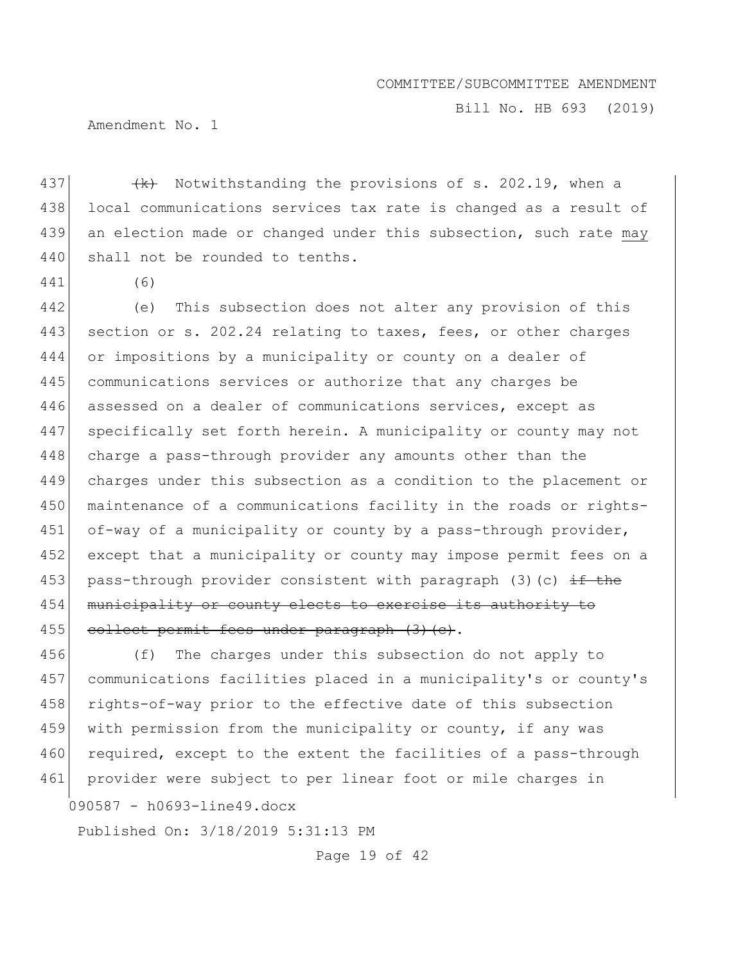Bill No. HB 693 (2019)

Amendment No. 1

437  $\left\{\left(k\right)$  Notwithstanding the provisions of s. 202.19, when a 438 local communications services tax rate is changed as a result of 439 an election made or changed under this subsection, such rate may 440 shall not be rounded to tenths.

441 (6)

442 (e) This subsection does not alter any provision of this 443 section or s. 202.24 relating to taxes, fees, or other charges 444 or impositions by a municipality or county on a dealer of 445 communications services or authorize that any charges be 446 assessed on a dealer of communications services, except as 447 specifically set forth herein. A municipality or county may not 448 charge a pass-through provider any amounts other than the 449 charges under this subsection as a condition to the placement or 450 maintenance of a communications facility in the roads or rights-451 of-way of a municipality or county by a pass-through provider, 452 except that a municipality or county may impose permit fees on a 453 pass-through provider consistent with paragraph (3)(c)  $\pm$  the 454 municipality or county elects to exercise its authority to 455 collect permit fees under paragraph (3) (c).

456 (f) The charges under this subsection do not apply to 457 communications facilities placed in a municipality's or county's 458 rights-of-way prior to the effective date of this subsection 459 with permission from the municipality or county, if any was 460 required, except to the extent the facilities of a pass-through 461 provider were subject to per linear foot or mile charges in

090587 - h0693-line49.docx

Published On: 3/18/2019 5:31:13 PM

Page 19 of 42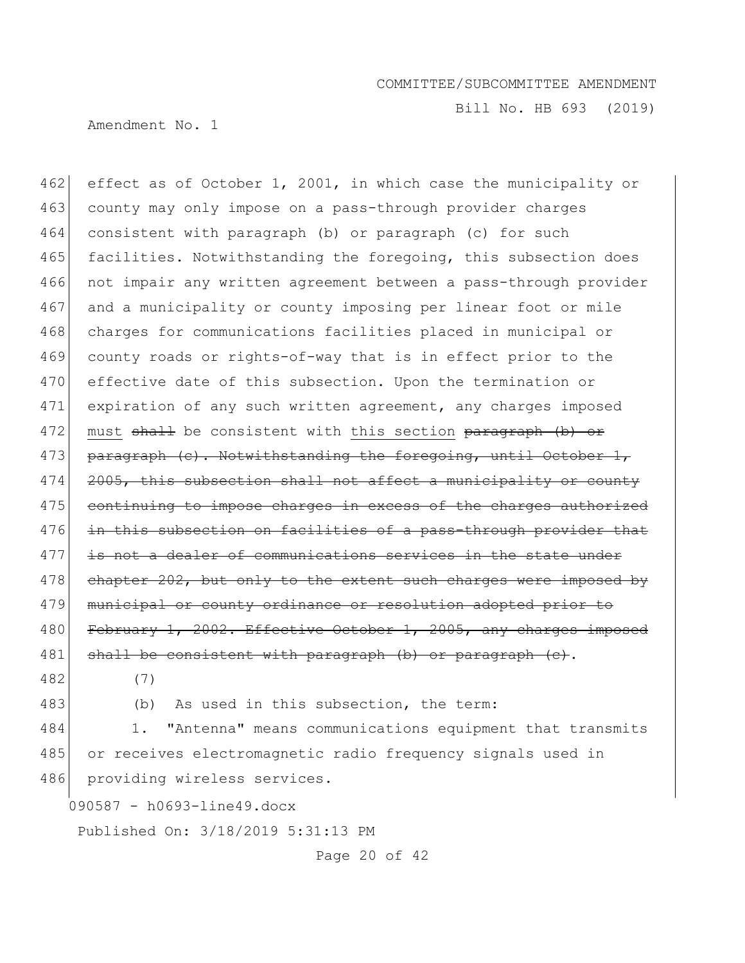Bill No. HB 693 (2019)

Amendment No. 1

462 effect as of October 1, 2001, in which case the municipality or 463 county may only impose on a pass-through provider charges 464 consistent with paragraph (b) or paragraph (c) for such 465 facilities. Notwithstanding the foregoing, this subsection does 466 not impair any written agreement between a pass-through provider 467 and a municipality or county imposing per linear foot or mile 468 charges for communications facilities placed in municipal or 469 county roads or rights-of-way that is in effect prior to the 470 effective date of this subsection. Upon the termination or 471 expiration of any such written agreement, any charges imposed 472 must shall be consistent with this section paragraph (b) or 473 paragraph (c). Notwithstanding the foregoing, until October 1, 474 2005, this subsection shall not affect a municipality or county 475 continuing to impose charges in excess of the charges authorized 476 in this subsection on facilities of a pass-through provider that 477 is not a dealer of communications services in the state under 478 chapter 202, but only to the extent such charges were imposed by 479 municipal or county ordinance or resolution adopted prior to 480 February 1, 2002. Effective October 1, 2005, any charges imposed 481 shall be consistent with paragraph (b) or paragraph (c).

- 482 (7)
- 

483 (b) As used in this subsection, the term:

484 1. "Antenna" means communications equipment that transmits 485 or receives electromagnetic radio frequency signals used in 486 providing wireless services.

090587 - h0693-line49.docx

Published On: 3/18/2019 5:31:13 PM

Page 20 of 42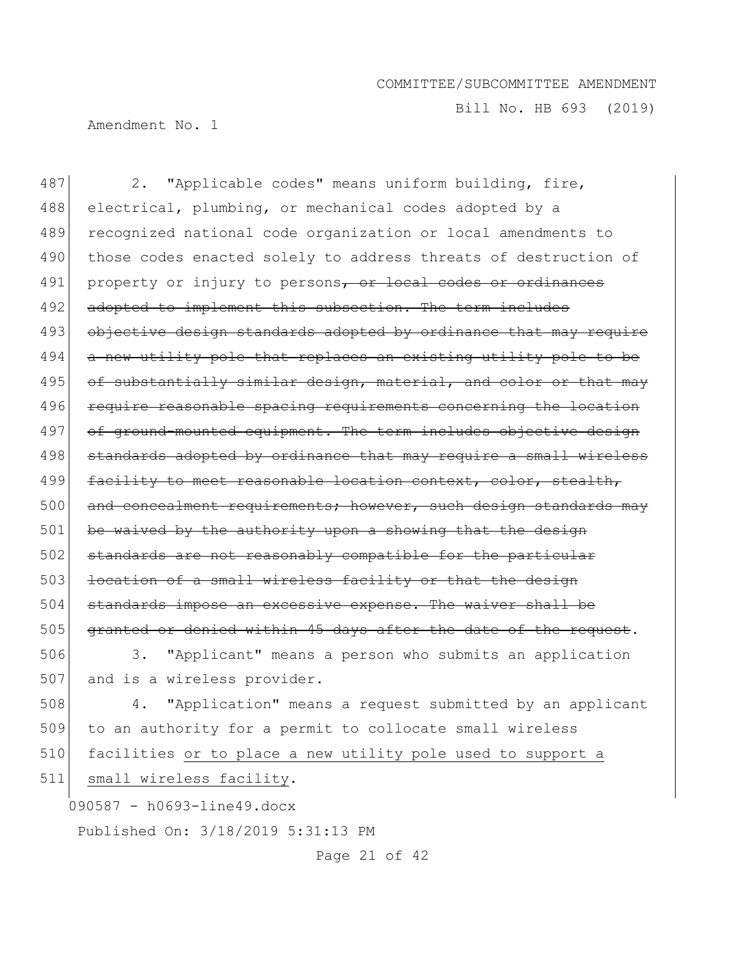Bill No. HB 693 (2019)

Amendment No. 1

090587 - h0693-line49.docx Published On: 3/18/2019 5:31:13 PM 487 2. "Applicable codes" means uniform building, fire, 488 electrical, plumbing, or mechanical codes adopted by a 489 recognized national code organization or local amendments to 490 those codes enacted solely to address threats of destruction of 491 property or injury to persons, or local codes or ordinances 492 adopted to implement this subsection. The term includes 493 objective design standards adopted by ordinance that may require 494 a new utility pole that replaces an existing utility pole to be 495 of substantially similar design, material, and color or that may 496 require reasonable spacing requirements concerning the location 497 of ground-mounted equipment. The term includes objective design 498 standards adopted by ordinance that may require a small wireless 499 facility to meet reasonable location context, color, stealth, 500 and concealment requirements; however, such design standards may  $501$  be waived by the authority upon a showing that the design 502 standards are not reasonably compatible for the particular 503 location of a small wireless facility or that the design 504 standards impose an excessive expense. The waiver shall be 505 granted or denied within 45 days after the date of the request. 506 3. "Applicant" means a person who submits an application 507 and is a wireless provider. 508 4. "Application" means a request submitted by an applicant 509 to an authority for a permit to collocate small wireless 510 facilities or to place a new utility pole used to support a 511 small wireless facility.

Page 21 of 42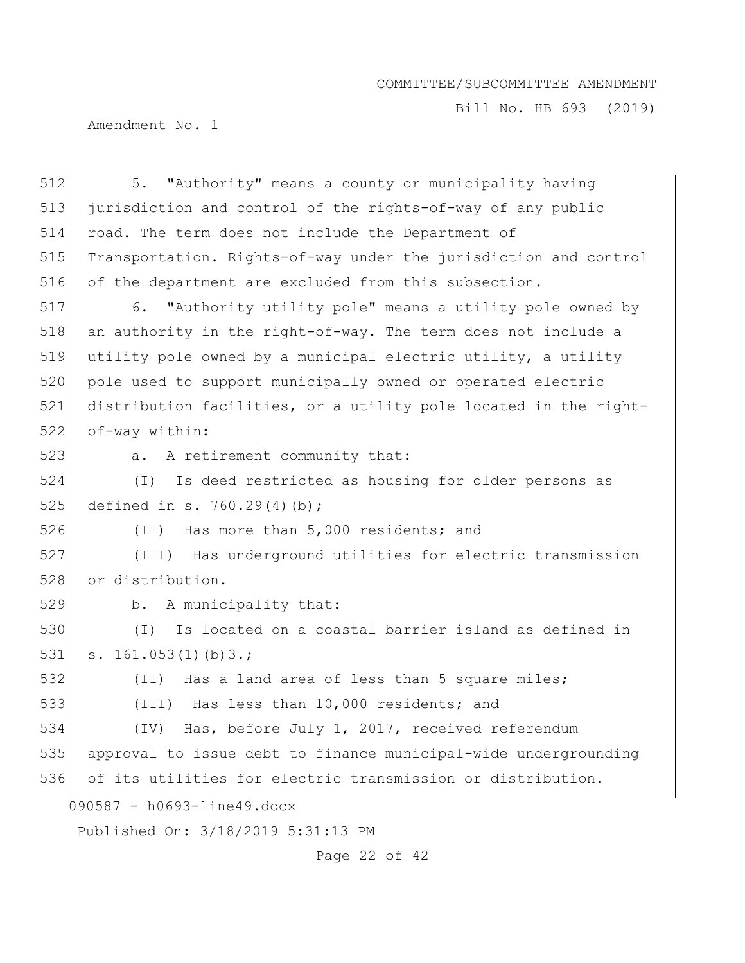Bill No. HB 693 (2019)

Amendment No. 1

| 512 | "Authority" means a county or municipality having<br>5.          |
|-----|------------------------------------------------------------------|
| 513 | jurisdiction and control of the rights-of-way of any public      |
| 514 | road. The term does not include the Department of                |
| 515 | Transportation. Rights-of-way under the jurisdiction and control |
| 516 | of the department are excluded from this subsection.             |
| 517 | 6. "Authority utility pole" means a utility pole owned by        |
| 518 | an authority in the right-of-way. The term does not include a    |
| 519 | utility pole owned by a municipal electric utility, a utility    |
| 520 | pole used to support municipally owned or operated electric      |
| 521 | distribution facilities, or a utility pole located in the right- |
| 522 | of-way within:                                                   |
| 523 | A retirement community that:<br>a.                               |
| 524 | Is deed restricted as housing for older persons as<br>$(\top)$   |
| 525 | defined in s. 760.29(4)(b);                                      |
| 526 | Has more than 5,000 residents; and<br>(TI)                       |
| 527 | (III) Has underground utilities for electric transmission        |
| 528 | or distribution.                                                 |
| 529 | b. A municipality that:                                          |
| 530 | Is located on a coastal barrier island as defined in<br>$(\top)$ |
| 531 | s. $161.053(1)(b)3.$ ;                                           |
| 532 | (II) Has a land area of less than 5 square miles;                |
| 533 | Has less than 10,000 residents; and<br>(III)                     |
| 534 | (IV) Has, before July 1, 2017, received referendum               |
| 535 | approval to issue debt to finance municipal-wide undergrounding  |
| 536 | of its utilities for electric transmission or distribution.      |
|     | 090587 - h0693-line49.docx                                       |
|     | Published On: 3/18/2019 5:31:13 PM                               |
|     |                                                                  |

Page 22 of 42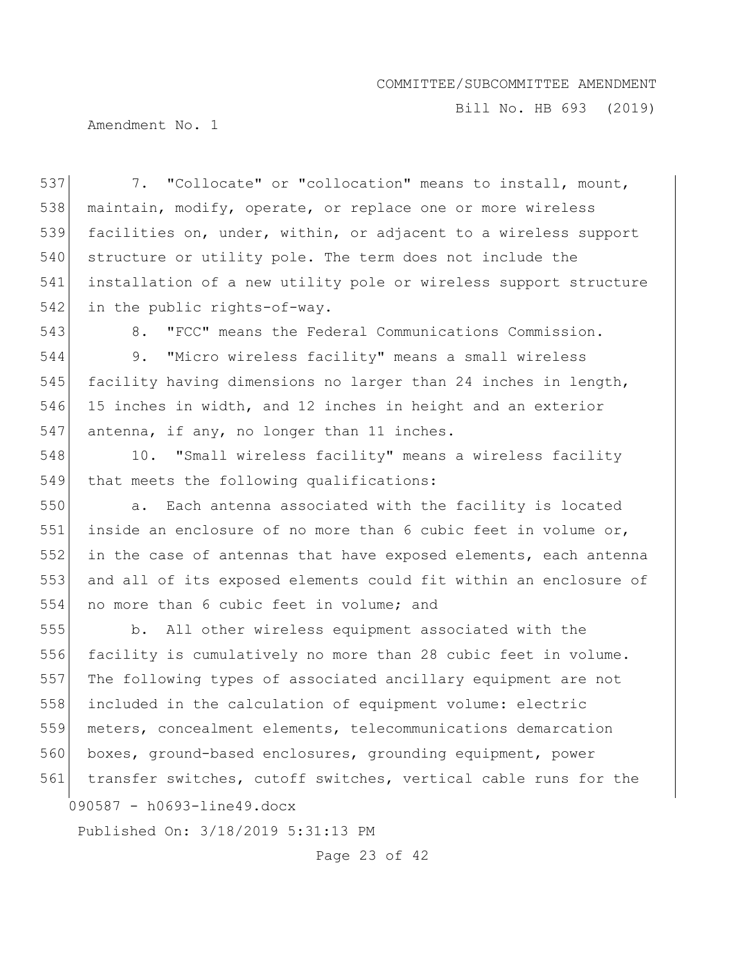Bill No. HB 693 (2019)

Amendment No. 1

537 7. "Collocate" or "collocation" means to install, mount, 538 maintain, modify, operate, or replace one or more wireless 539 facilities on, under, within, or adjacent to a wireless support 540 structure or utility pole. The term does not include the 541 installation of a new utility pole or wireless support structure 542 in the public rights-of-way.

543 8. "FCC" means the Federal Communications Commission.

544 9. "Micro wireless facility" means a small wireless 545 facility having dimensions no larger than 24 inches in length, 546 15 inches in width, and 12 inches in height and an exterior 547 antenna, if any, no longer than 11 inches.

548 10. "Small wireless facility" means a wireless facility 549 that meets the following qualifications:

550 a. Each antenna associated with the facility is located 551 inside an enclosure of no more than 6 cubic feet in volume or, 552 in the case of antennas that have exposed elements, each antenna 553 and all of its exposed elements could fit within an enclosure of 554 no more than 6 cubic feet in volume; and

090587 - h0693-line49.docx b. All other wireless equipment associated with the facility is cumulatively no more than 28 cubic feet in volume. The following types of associated ancillary equipment are not included in the calculation of equipment volume: electric meters, concealment elements, telecommunications demarcation 560 boxes, ground-based enclosures, grounding equipment, power 561 transfer switches, cutoff switches, vertical cable runs for the

Published On: 3/18/2019 5:31:13 PM

Page 23 of 42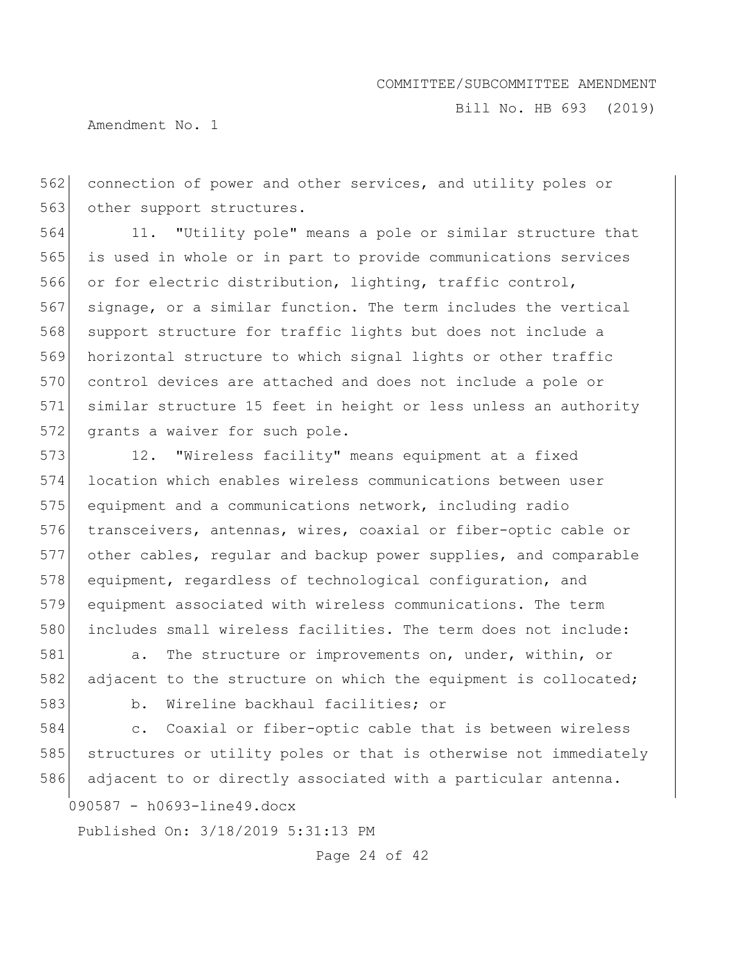Bill No. HB 693 (2019)

Amendment No. 1

562 connection of power and other services, and utility poles or 563 other support structures.

564 11. "Utility pole" means a pole or similar structure that 565 is used in whole or in part to provide communications services 566 or for electric distribution, lighting, traffic control, 567 signage, or a similar function. The term includes the vertical 568 support structure for traffic lights but does not include a 569 horizontal structure to which signal lights or other traffic 570 control devices are attached and does not include a pole or 571 similar structure 15 feet in height or less unless an authority 572 grants a waiver for such pole.

573 12. "Wireless facility" means equipment at a fixed location which enables wireless communications between user equipment and a communications network, including radio transceivers, antennas, wires, coaxial or fiber-optic cable or other cables, regular and backup power supplies, and comparable 578 equipment, regardless of technological configuration, and equipment associated with wireless communications. The term 580 includes small wireless facilities. The term does not include:

581 a. The structure or improvements on, under, within, or 582 adjacent to the structure on which the equipment is collocated; 583 b. Wireline backhaul facilities; or

584 c. Coaxial or fiber-optic cable that is between wireless 585 structures or utility poles or that is otherwise not immediately

586 adjacent to or directly associated with a particular antenna.

090587 - h0693-line49.docx

Published On: 3/18/2019 5:31:13 PM

Page 24 of 42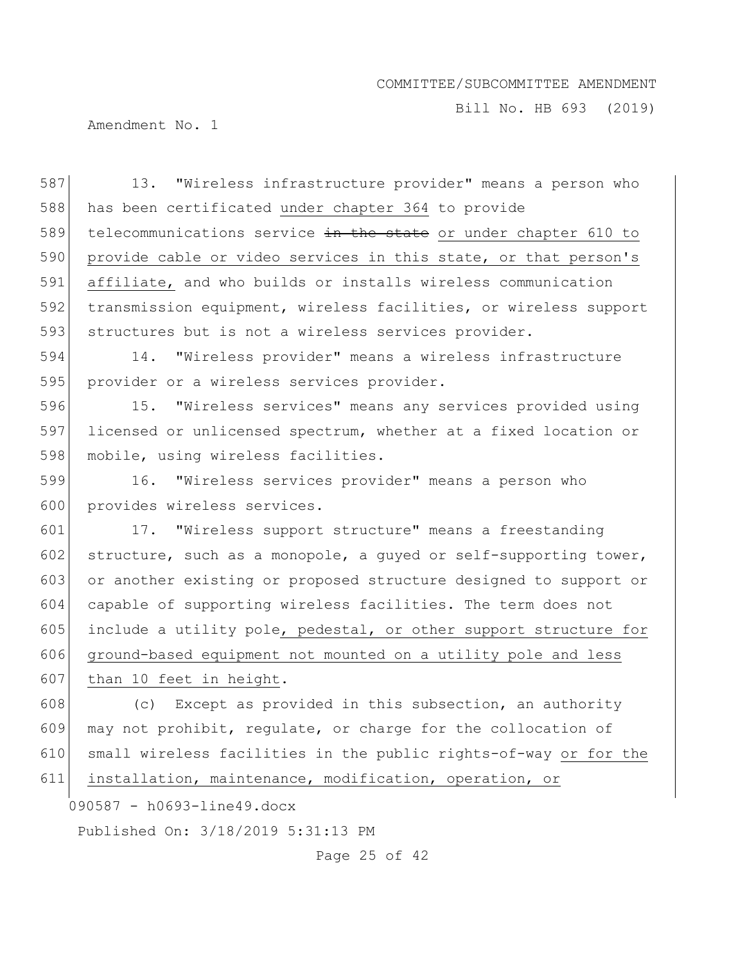Bill No. HB 693 (2019)

Amendment No. 1

587 13. "Wireless infrastructure provider" means a person who 588 has been certificated under chapter 364 to provide 589 telecommunications service  $\frac{1}{2}$  the state or under chapter 610 to 590 provide cable or video services in this state, or that person's 591 affiliate, and who builds or installs wireless communication 592 transmission equipment, wireless facilities, or wireless support 593 structures but is not a wireless services provider. 594 14. "Wireless provider" means a wireless infrastructure

595 provider or a wireless services provider.

596 15. "Wireless services" means any services provided using 597 licensed or unlicensed spectrum, whether at a fixed location or 598 mobile, using wireless facilities.

599 16. "Wireless services provider" means a person who 600 provides wireless services.

601 17. "Wireless support structure" means a freestanding 602 structure, such as a monopole, a guyed or self-supporting tower, 603 or another existing or proposed structure designed to support or 604 capable of supporting wireless facilities. The term does not 605 include a utility pole, pedestal, or other support structure for 606 ground-based equipment not mounted on a utility pole and less

607 than 10 feet in height.

 $\vert$  (c) Except as provided in this subsection, an authority 609 may not prohibit, regulate, or charge for the collocation of small wireless facilities in the public rights-of-way or for the installation, maintenance, modification, operation, or

090587 - h0693-line49.docx

Published On: 3/18/2019 5:31:13 PM

Page 25 of 42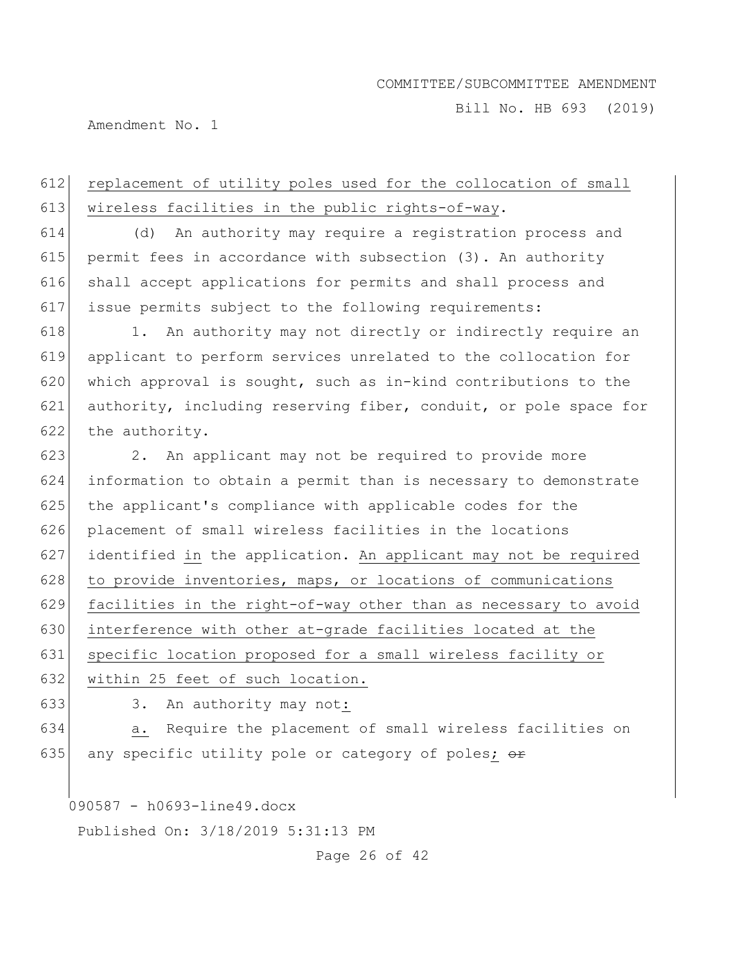Bill No. HB 693 (2019)

Amendment No. 1

# 612 replacement of utility poles used for the collocation of small 613 wireless facilities in the public rights-of-way.

 (d) An authority may require a registration process and permit fees in accordance with subsection (3). An authority shall accept applications for permits and shall process and issue permits subject to the following requirements:

618 1. An authority may not directly or indirectly require an 619 applicant to perform services unrelated to the collocation for 620 which approval is sought, such as in-kind contributions to the 621 authority, including reserving fiber, conduit, or pole space for 622 the authority.

 2. An applicant may not be required to provide more information to obtain a permit than is necessary to demonstrate 625 the applicant's compliance with applicable codes for the placement of small wireless facilities in the locations identified in the application. An applicant may not be required 628 to provide inventories, maps, or locations of communications 629 facilities in the right-of-way other than as necessary to avoid interference with other at-grade facilities located at the specific location proposed for a small wireless facility or

632 within 25 feet of such location.

633 3. An authority may not:

634 a. Require the placement of small wireless facilities on 635 any specific utility pole or category of poles;  $\theta$ 

090587 - h0693-line49.docx

Published On: 3/18/2019 5:31:13 PM

Page 26 of 42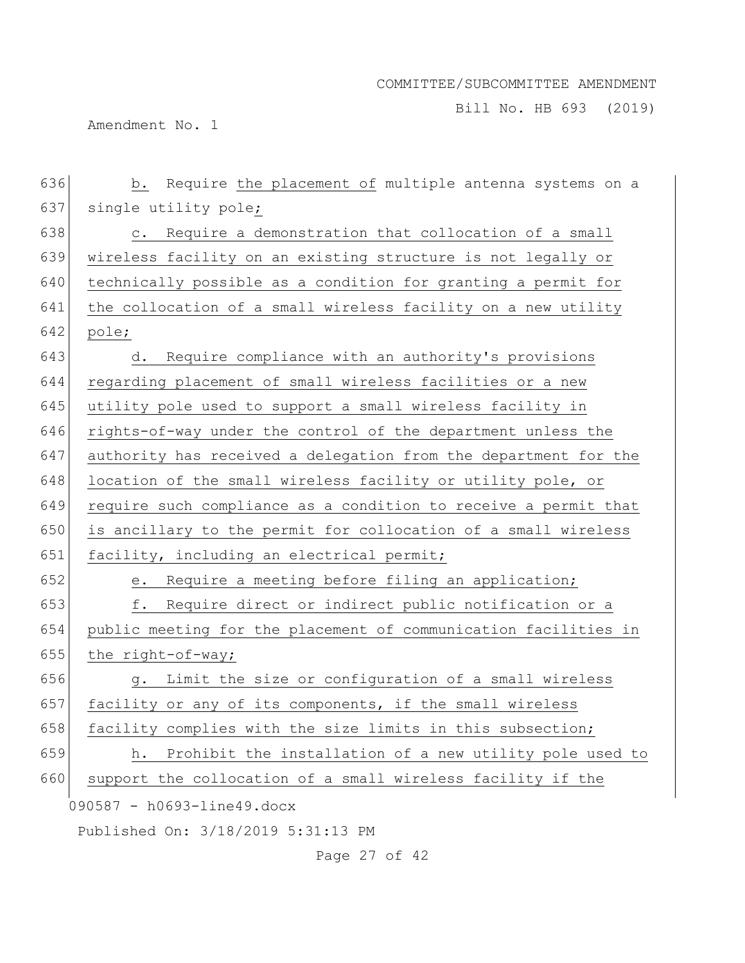Bill No. HB 693 (2019)

Amendment No. 1

| 636 | Require the placement of multiple antenna systems on a<br>b.     |
|-----|------------------------------------------------------------------|
| 637 | single utility pole;                                             |
| 638 | Require a demonstration that collocation of a small<br>$\circ$ . |
| 639 | wireless facility on an existing structure is not legally or     |
| 640 | technically possible as a condition for granting a permit for    |
| 641 | the collocation of a small wireless facility on a new utility    |
| 642 | pole;                                                            |
| 643 | Require compliance with an authority's provisions<br>d.          |
| 644 | regarding placement of small wireless facilities or a new        |
| 645 | utility pole used to support a small wireless facility in        |
| 646 | rights-of-way under the control of the department unless the     |
| 647 | authority has received a delegation from the department for the  |
| 648 | location of the small wireless facility or utility pole, or      |
| 649 | require such compliance as a condition to receive a permit that  |
| 650 | is ancillary to the permit for collocation of a small wireless   |
| 651 | facility, including an electrical permit;                        |
| 652 | Require a meeting before filing an application;<br>е.            |
| 653 | Require direct or indirect public notification or a<br>f.        |
| 654 | public meeting for the placement of communication facilities in  |
| 655 | the right-of-way;                                                |
| 656 | Limit the size or configuration of a small wireless<br>g.        |
| 657 | facility or any of its components, if the small wireless         |
| 658 | facility complies with the size limits in this subsection;       |
| 659 | Prohibit the installation of a new utility pole used to<br>h.    |
| 660 | support the collocation of a small wireless facility if the      |
|     | 090587 - h0693-line49.docx                                       |
|     | Published On: 3/18/2019 5:31:13 PM                               |

Page 27 of 42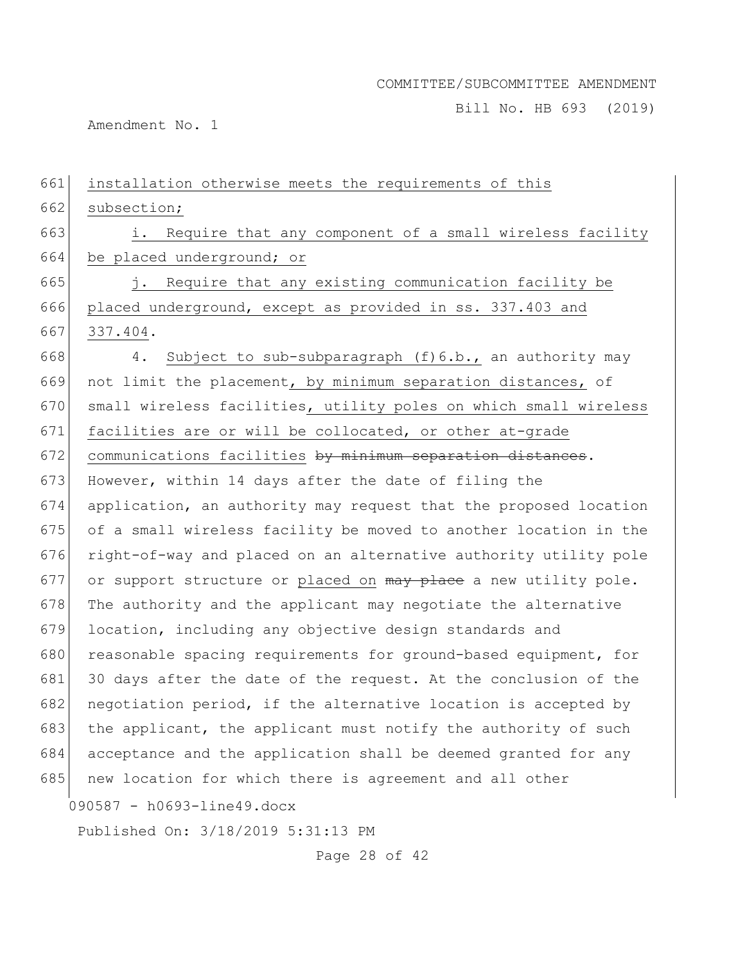Bill No. HB 693 (2019)

Amendment No. 1

| 661 | installation otherwise meets the requirements of this            |
|-----|------------------------------------------------------------------|
| 662 | subsection;                                                      |
| 663 | Require that any component of a small wireless facility<br>i.    |
| 664 | be placed underground; or                                        |
| 665 | Require that any existing communication facility be<br>j.        |
| 666 | placed underground, except as provided in ss. 337.403 and        |
| 667 | 337.404.                                                         |
| 668 | Subject to sub-subparagraph (f) 6.b., an authority may<br>4.     |
| 669 | not limit the placement, by minimum separation distances, of     |
| 670 | small wireless facilities, utility poles on which small wireless |
| 671 | facilities are or will be collocated, or other at-grade          |
| 672 | communications facilities by minimum separation distances.       |
| 673 | However, within 14 days after the date of filing the             |
| 674 | application, an authority may request that the proposed location |
| 675 | of a small wireless facility be moved to another location in the |
| 676 | right-of-way and placed on an alternative authority utility pole |
| 677 | or support structure or placed on may place a new utility pole.  |
| 678 | The authority and the applicant may negotiate the alternative    |
| 679 | location, including any objective design standards and           |
| 680 | reasonable spacing requirements for ground-based equipment, for  |
| 681 | 30 days after the date of the request. At the conclusion of the  |
| 682 | negotiation period, if the alternative location is accepted by   |
| 683 | the applicant, the applicant must notify the authority of such   |
| 684 | acceptance and the application shall be deemed granted for any   |
| 685 | new location for which there is agreement and all other          |
|     | 090587 - h0693-line49.docx                                       |
|     | Published On: 3/18/2019 5:31:13 PM                               |
|     | Page 28 of 42                                                    |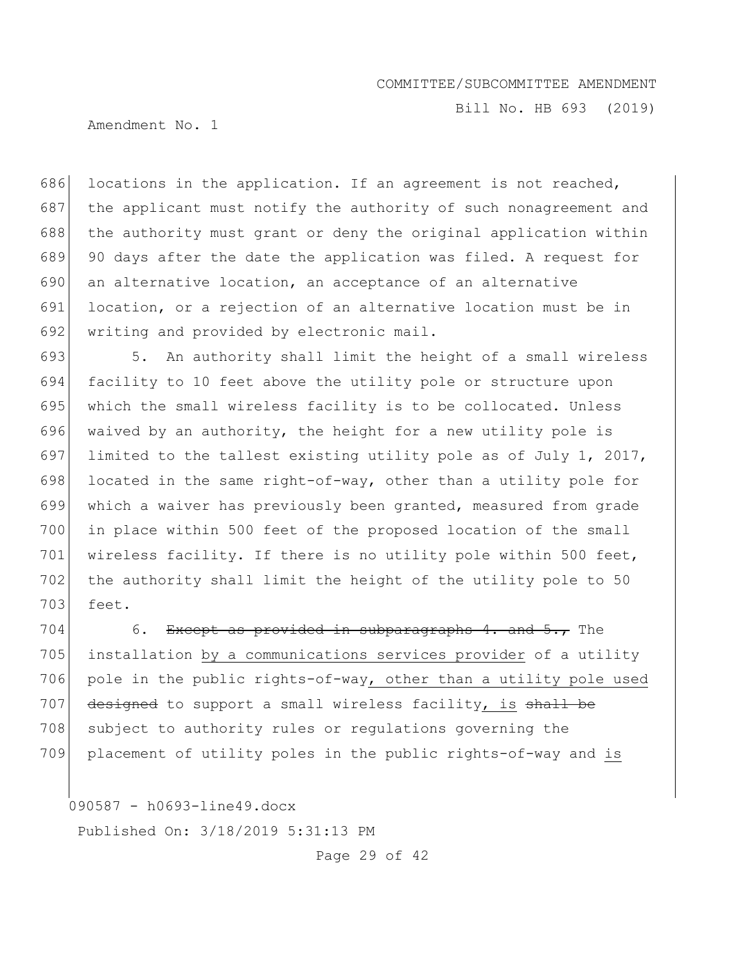Bill No. HB 693 (2019)

Amendment No. 1

686 locations in the application. If an agreement is not reached, 687 the applicant must notify the authority of such nonagreement and 688 the authority must grant or deny the original application within 689 90 days after the date the application was filed. A request for 690 an alternative location, an acceptance of an alternative 691 location, or a rejection of an alternative location must be in 692 writing and provided by electronic mail.

693 5. An authority shall limit the height of a small wireless 694 facility to 10 feet above the utility pole or structure upon 695 which the small wireless facility is to be collocated. Unless 696 waived by an authority, the height for a new utility pole is 697 limited to the tallest existing utility pole as of July 1, 2017, 698 located in the same right-of-way, other than a utility pole for 699 which a waiver has previously been granted, measured from grade 700 in place within 500 feet of the proposed location of the small 701 | wireless facility. If there is no utility pole within 500 feet, 702 the authority shall limit the height of the utility pole to 50 703 feet.

704 6. Except as provided in subparagraphs 4. and  $5.7$  The 705 installation by a communications services provider of a utility 706 pole in the public rights-of-way, other than a utility pole used 707 designed to support a small wireless facility, is shall be 708 subject to authority rules or regulations governing the 709 placement of utility poles in the public rights-of-way and is

090587 - h0693-line49.docx

Published On: 3/18/2019 5:31:13 PM

Page 29 of 42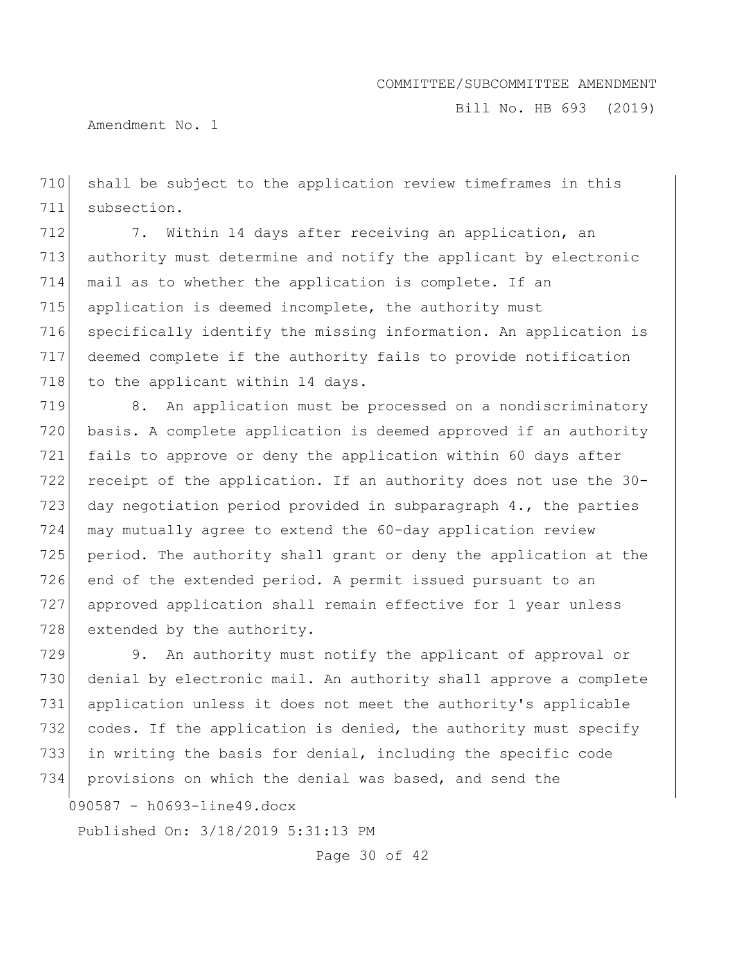Bill No. HB 693 (2019)

Amendment No. 1

710 shall be subject to the application review timeframes in this 711 subsection.

712 7. Within 14 days after receiving an application, an 713 authority must determine and notify the applicant by electronic 714 mail as to whether the application is complete. If an 715 application is deemed incomplete, the authority must 716 specifically identify the missing information. An application is 717 deemed complete if the authority fails to provide notification 718 to the applicant within 14 days.

719 8. An application must be processed on a nondiscriminatory 720 basis. A complete application is deemed approved if an authority 721 fails to approve or deny the application within 60 days after 722 receipt of the application. If an authority does not use the 30-723 day negotiation period provided in subparagraph  $4.$ , the parties 724 may mutually agree to extend the 60-day application review 725 period. The authority shall grant or deny the application at the 726 end of the extended period. A permit issued pursuant to an 727 approved application shall remain effective for 1 year unless 728 extended by the authority.

729 9. An authority must notify the applicant of approval or 730 denial by electronic mail. An authority shall approve a complete 731 application unless it does not meet the authority's applicable 732 codes. If the application is denied, the authority must specify 733 in writing the basis for denial, including the specific code 734 provisions on which the denial was based, and send the

090587 - h0693-line49.docx

Published On: 3/18/2019 5:31:13 PM

Page 30 of 42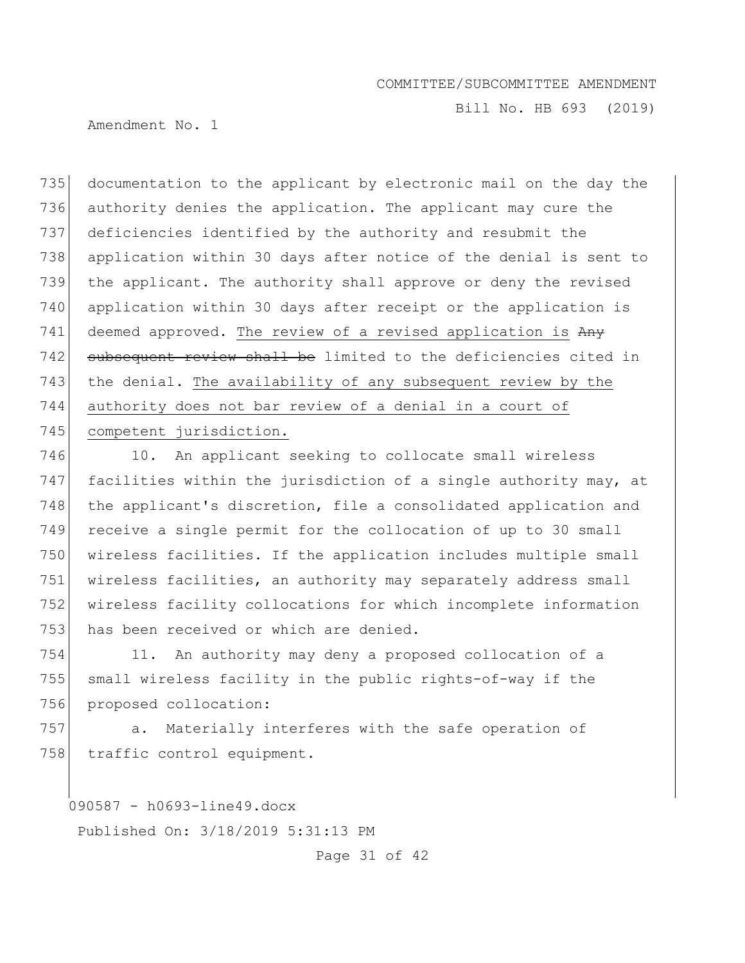Bill No. HB 693 (2019)

Amendment No. 1

 documentation to the applicant by electronic mail on the day the authority denies the application. The applicant may cure the deficiencies identified by the authority and resubmit the application within 30 days after notice of the denial is sent to the applicant. The authority shall approve or deny the revised application within 30 days after receipt or the application is 741 deemed approved. The review of a revised application is Any 742 subsequent review shall be limited to the deficiencies cited in the denial. The availability of any subsequent review by the authority does not bar review of a denial in a court of 745 competent jurisdiction.

746 10. An applicant seeking to collocate small wireless 747 facilities within the jurisdiction of a single authority may, at 748 the applicant's discretion, file a consolidated application and 749 receive a single permit for the collocation of up to 30 small 750 wireless facilities. If the application includes multiple small 751 wireless facilities, an authority may separately address small 752 wireless facility collocations for which incomplete information 753 has been received or which are denied.

754 11. An authority may deny a proposed collocation of a 755 small wireless facility in the public rights-of-way if the 756 proposed collocation:

757 a. Materially interferes with the safe operation of 758 traffic control equipment.

090587 - h0693-line49.docx

Published On: 3/18/2019 5:31:13 PM

Page 31 of 42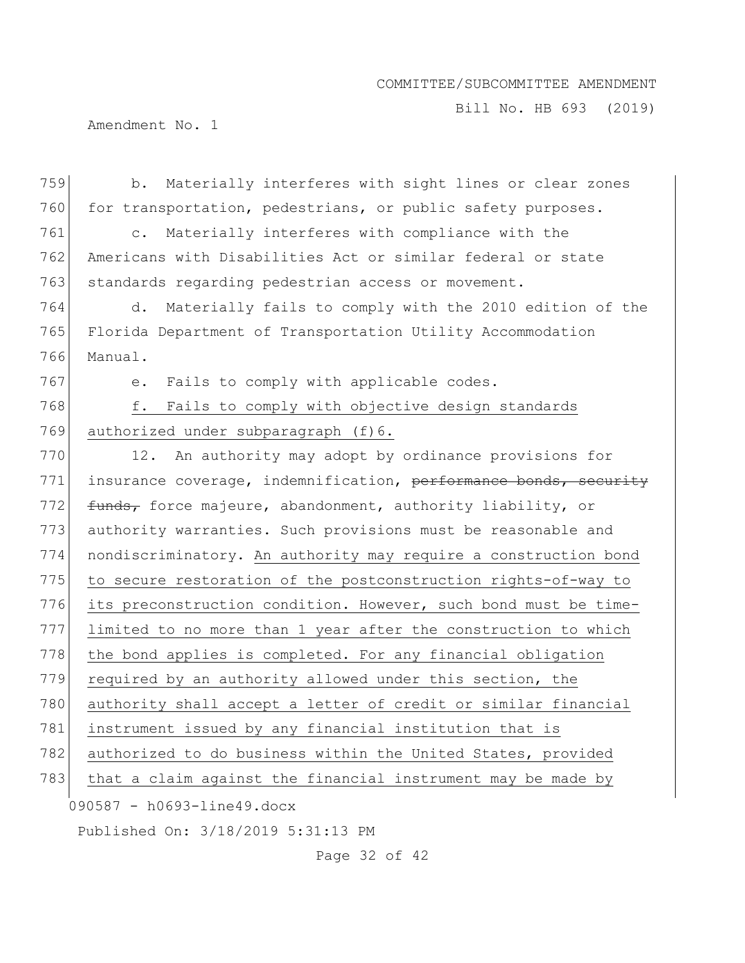Bill No. HB 693 (2019)

Amendment No. 1

| 759 | b. Materially interferes with sight lines or clear zones         |
|-----|------------------------------------------------------------------|
| 760 | for transportation, pedestrians, or public safety purposes.      |
| 761 | Materially interferes with compliance with the<br>$\mathsf{C}$ . |
| 762 | Americans with Disabilities Act or similar federal or state      |
| 763 | standards regarding pedestrian access or movement.               |
| 764 | Materially fails to comply with the 2010 edition of the<br>d.    |
| 765 | Florida Department of Transportation Utility Accommodation       |
| 766 | Manual.                                                          |
| 767 | Fails to comply with applicable codes.<br>e.                     |
| 768 | f.<br>Fails to comply with objective design standards            |
| 769 | authorized under subparagraph (f)6.                              |
| 770 | An authority may adopt by ordinance provisions for<br>12.        |
| 771 | insurance coverage, indemnification, performance bonds, security |
| 772 | funds, force majeure, abandonment, authority liability, or       |
| 773 | authority warranties. Such provisions must be reasonable and     |
| 774 | nondiscriminatory. An authority may require a construction bond  |
| 775 | to secure restoration of the postconstruction rights-of-way to   |
| 776 | its preconstruction condition. However, such bond must be time-  |
| 777 | limited to no more than 1 year after the construction to which   |
| 778 | the bond applies is completed. For any financial obligation      |
| 779 | required by an authority allowed under this section, the         |
| 780 | authority shall accept a letter of credit or similar financial   |
| 781 | instrument issued by any financial institution that is           |
| 782 | authorized to do business within the United States, provided     |
| 783 | that a claim against the financial instrument may be made by     |
|     | 090587 - h0693-line49.docx                                       |
|     | Published On: 3/18/2019 5:31:13 PM                               |

Page 32 of 42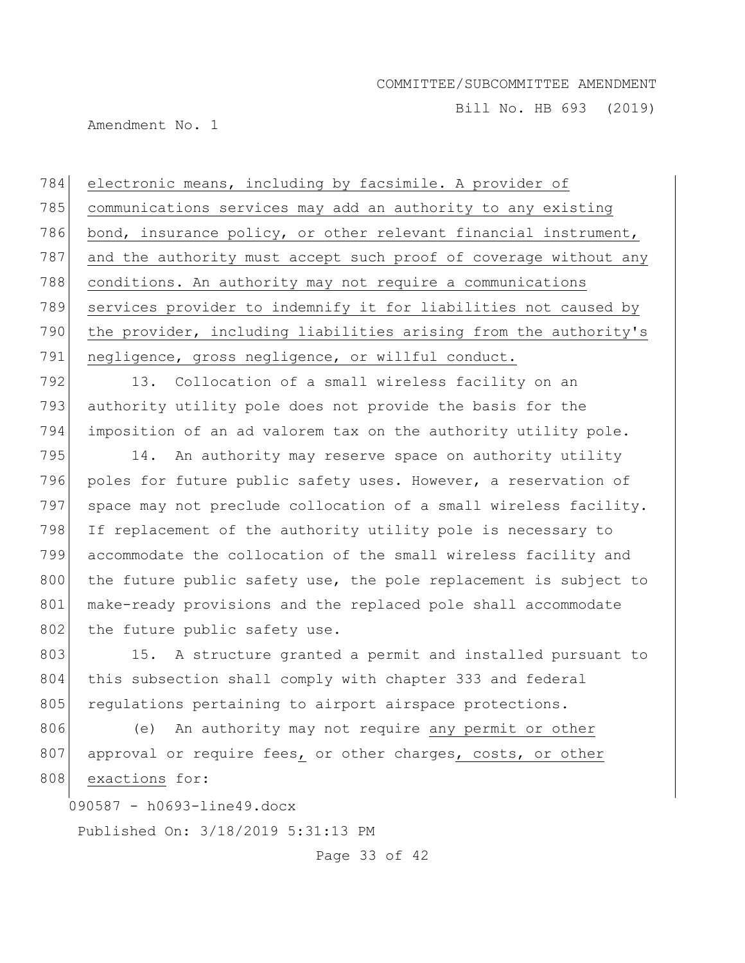Bill No. HB 693 (2019)

Amendment No. 1

784 electronic means, including by facsimile. A provider of 785 communications services may add an authority to any existing 786 bond, insurance policy, or other relevant financial instrument, 787 and the authority must accept such proof of coverage without any 788 conditions. An authority may not require a communications 789 services provider to indemnify it for liabilities not caused by 790 the provider, including liabilities arising from the authority's 791 negligence, gross negligence, or willful conduct.

792 13. Collocation of a small wireless facility on an 793 authority utility pole does not provide the basis for the 794 imposition of an ad valorem tax on the authority utility pole.

795 14. An authority may reserve space on authority utility 796 poles for future public safety uses. However, a reservation of 797 space may not preclude collocation of a small wireless facility. 798 If replacement of the authority utility pole is necessary to 799 accommodate the collocation of the small wireless facility and 800 the future public safety use, the pole replacement is subject to 801 make-ready provisions and the replaced pole shall accommodate 802 the future public safety use.

803 15. A structure granted a permit and installed pursuant to 804 this subsection shall comply with chapter 333 and federal 805 regulations pertaining to airport airspace protections.

806 (e) An authority may not require any permit or other 807 approval or require fees, or other charges, costs, or other 808 exactions for:

090587 - h0693-line49.docx

Published On: 3/18/2019 5:31:13 PM

Page 33 of 42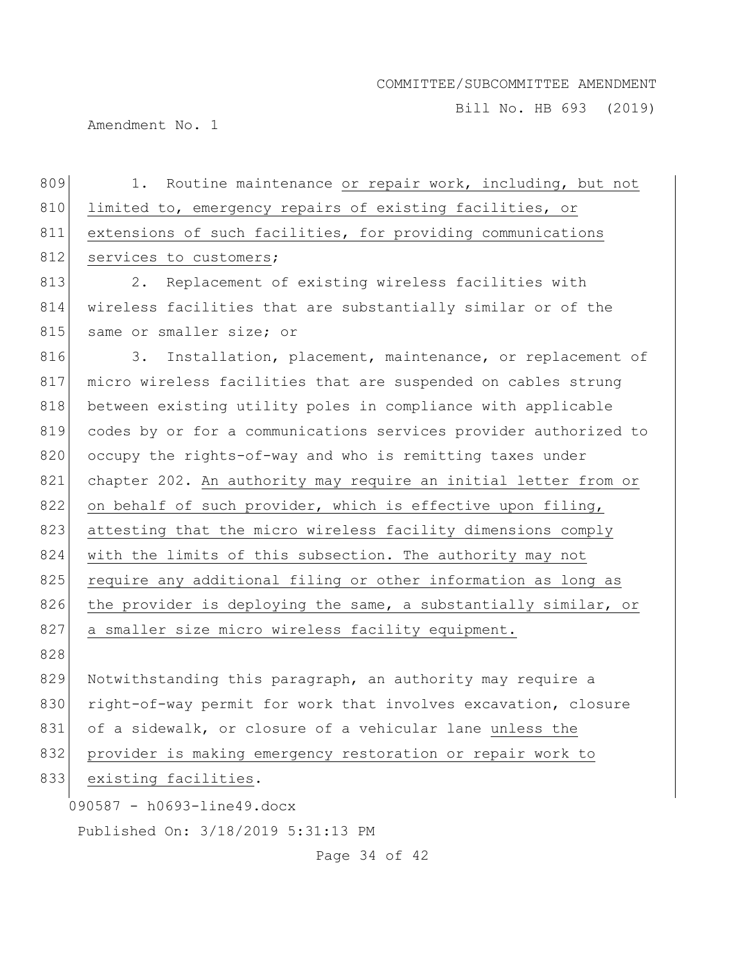Bill No. HB 693 (2019)

Amendment No. 1

| 809 | Routine maintenance or repair work, including, but not<br>1.     |
|-----|------------------------------------------------------------------|
| 810 | limited to, emergency repairs of existing facilities, or         |
| 811 | extensions of such facilities, for providing communications      |
| 812 | services to customers;                                           |
| 813 | Replacement of existing wireless facilities with<br>2.           |
| 814 | wireless facilities that are substantially similar or of the     |
| 815 | same or smaller size; or                                         |
| 816 | Installation, placement, maintenance, or replacement of<br>3.    |
| 817 | micro wireless facilities that are suspended on cables strung    |
| 818 | between existing utility poles in compliance with applicable     |
| 819 | codes by or for a communications services provider authorized to |
| 820 | occupy the rights-of-way and who is remitting taxes under        |
| 821 | chapter 202. An authority may require an initial letter from or  |
| 822 | on behalf of such provider, which is effective upon filing,      |
| 823 | attesting that the micro wireless facility dimensions comply     |
| 824 | with the limits of this subsection. The authority may not        |
| 825 | require any additional filing or other information as long as    |
| 826 | the provider is deploying the same, a substantially similar, or  |
| 827 | a smaller size micro wireless facility equipment.                |
| 828 |                                                                  |
| 829 | Notwithstanding this paragraph, an authority may require a       |
| 830 | right-of-way permit for work that involves excavation, closure   |
| 831 | of a sidewalk, or closure of a vehicular lane unless the         |
| 832 | provider is making emergency restoration or repair work to       |
| 833 | existing facilities.                                             |
|     | 090587 - h0693-line49.docx                                       |
|     | Published On: 3/18/2019 5:31:13 PM                               |

Page 34 of 42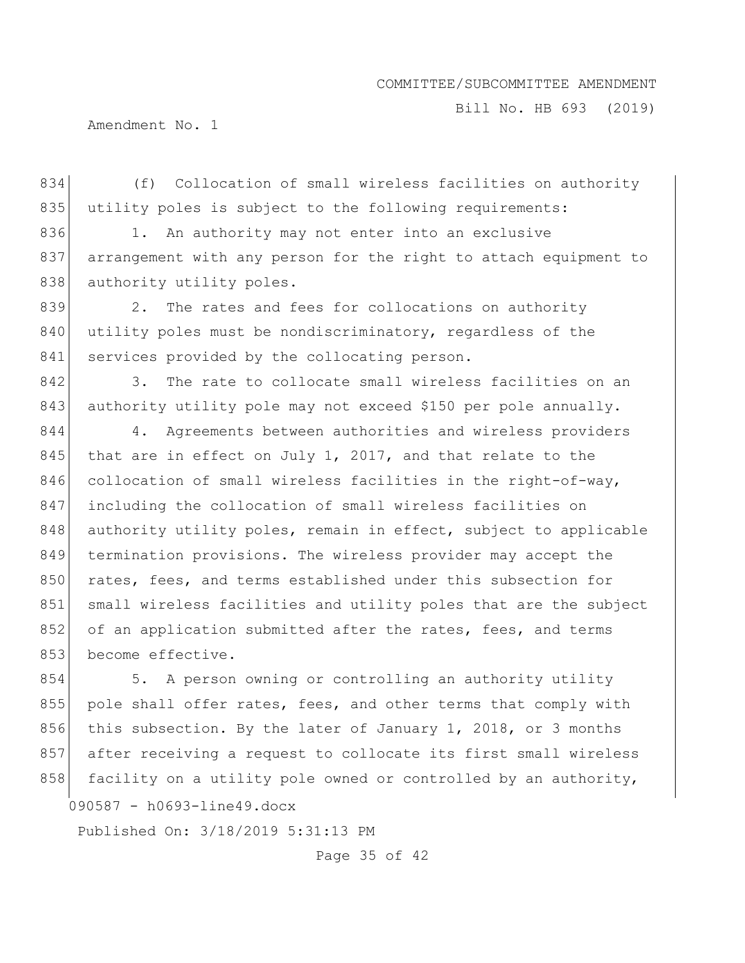Bill No. HB 693 (2019)

Amendment No. 1

834 (f) Collocation of small wireless facilities on authority 835 utility poles is subject to the following requirements: 836 1. An authority may not enter into an exclusive 837 arrangement with any person for the right to attach equipment to 838 authority utility poles. 839 2. The rates and fees for collocations on authority 840 utility poles must be nondiscriminatory, regardless of the 841 services provided by the collocating person. 842 3. The rate to collocate small wireless facilities on an 843 authority utility pole may not exceed \$150 per pole annually. 844 4. Agreements between authorities and wireless providers 845 that are in effect on July 1, 2017, and that relate to the 846 collocation of small wireless facilities in the right-of-way, 847 including the collocation of small wireless facilities on 848 authority utility poles, remain in effect, subject to applicable 849 termination provisions. The wireless provider may accept the 850 rates, fees, and terms established under this subsection for 851 small wireless facilities and utility poles that are the subject 852 of an application submitted after the rates, fees, and terms 853 become effective.

854 5. A person owning or controlling an authority utility 855 pole shall offer rates, fees, and other terms that comply with 856 this subsection. By the later of January 1, 2018, or 3 months 857 after receiving a request to collocate its first small wireless 858 facility on a utility pole owned or controlled by an authority,

090587 - h0693-line49.docx

Published On: 3/18/2019 5:31:13 PM

Page 35 of 42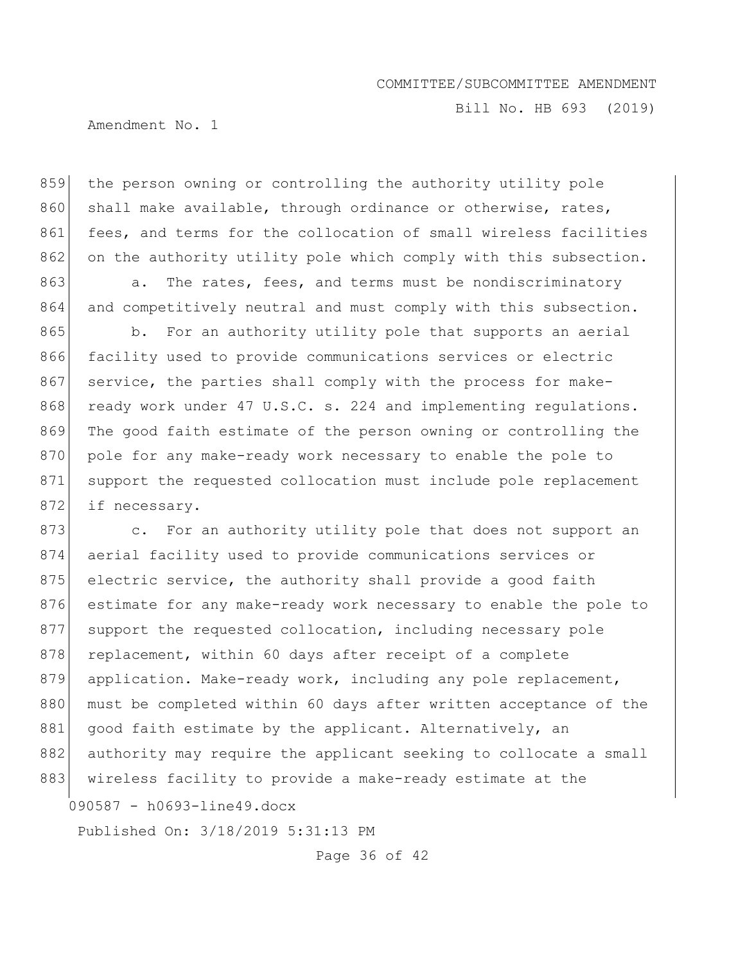Bill No. HB 693 (2019)

Amendment No. 1

859 | the person owning or controlling the authority utility pole 860 shall make available, through ordinance or otherwise, rates, 861 fees, and terms for the collocation of small wireless facilities 862 on the authority utility pole which comply with this subsection.

863 a. The rates, fees, and terms must be nondiscriminatory 864 and competitively neutral and must comply with this subsection.

865 b. For an authority utility pole that supports an aerial 866 facility used to provide communications services or electric 867 service, the parties shall comply with the process for make-868 ready work under 47 U.S.C. s. 224 and implementing regulations. 869 The good faith estimate of the person owning or controlling the 870 pole for any make-ready work necessary to enable the pole to 871 support the requested collocation must include pole replacement 872 if necessary.

090587 - h0693-line49.docx 873 c. For an authority utility pole that does not support an 874 aerial facility used to provide communications services or 875 electric service, the authority shall provide a good faith 876 estimate for any make-ready work necessary to enable the pole to 877 support the requested collocation, including necessary pole 878 replacement, within 60 days after receipt of a complete 879 application. Make-ready work, including any pole replacement, 880 must be completed within 60 days after written acceptance of the 881 good faith estimate by the applicant. Alternatively, an 882 authority may require the applicant seeking to collocate a small 883 wireless facility to provide a make-ready estimate at the

Published On: 3/18/2019 5:31:13 PM

Page 36 of 42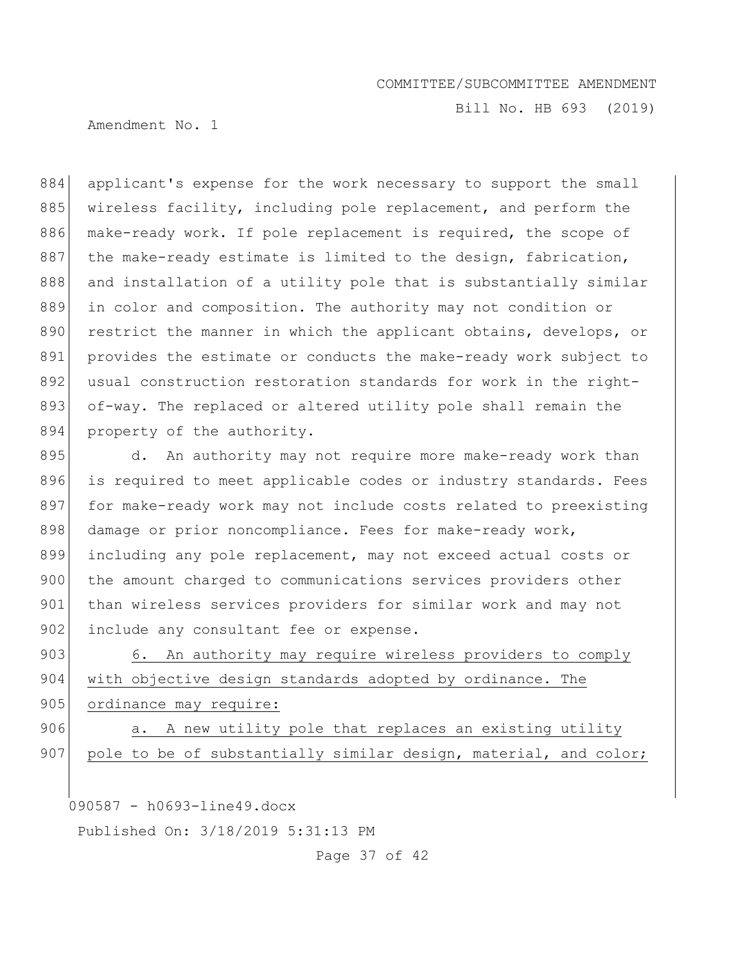Bill No. HB 693 (2019)

Amendment No. 1

884 applicant's expense for the work necessary to support the small 885 wireless facility, including pole replacement, and perform the 886 make-ready work. If pole replacement is required, the scope of 887 the make-ready estimate is limited to the design, fabrication, 888 and installation of a utility pole that is substantially similar 889 in color and composition. The authority may not condition or 890 restrict the manner in which the applicant obtains, develops, or 891 provides the estimate or conducts the make-ready work subject to 892 usual construction restoration standards for work in the right-893 of-way. The replaced or altered utility pole shall remain the 894 property of the authority.

895 d. An authority may not require more make-ready work than 896 is required to meet applicable codes or industry standards. Fees 897 for make-ready work may not include costs related to preexisting 898 damage or prior noncompliance. Fees for make-ready work, 899 including any pole replacement, may not exceed actual costs or 900 the amount charged to communications services providers other 901 than wireless services providers for similar work and may not 902 include any consultant fee or expense.

903 6. An authority may require wireless providers to comply 904 with objective design standards adopted by ordinance. The 905 ordinance may require:

906 a. A new utility pole that replaces an existing utility 907 pole to be of substantially similar design, material, and color;

090587 - h0693-line49.docx

Published On: 3/18/2019 5:31:13 PM

Page 37 of 42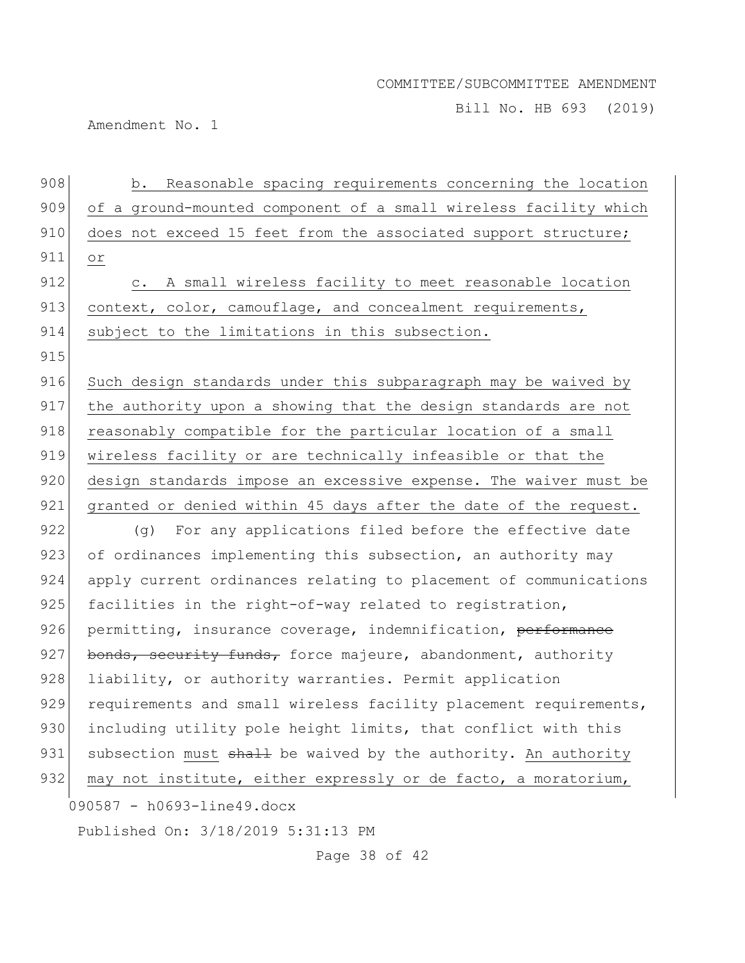Bill No. HB 693 (2019)

Amendment No. 1

| 908 | b. Reasonable spacing requirements concerning the location              |
|-----|-------------------------------------------------------------------------|
| 909 | of a ground-mounted component of a small wireless facility which        |
| 910 | does not exceed 15 feet from the associated support structure;          |
| 911 | or                                                                      |
| 912 | A small wireless facility to meet reasonable location<br>$\mathbb{C}$ . |
| 913 | context, color, camouflage, and concealment requirements,               |
| 914 | subject to the limitations in this subsection.                          |
| 915 |                                                                         |
| 916 | Such design standards under this subparagraph may be waived by          |
| 917 | the authority upon a showing that the design standards are not          |
| 918 | reasonably compatible for the particular location of a small            |
| 919 | wireless facility or are technically infeasible or that the             |
| 920 | design standards impose an excessive expense. The waiver must be        |
| 921 | granted or denied within 45 days after the date of the request.         |
| 922 | (g) For any applications filed before the effective date                |
| 923 | of ordinances implementing this subsection, an authority may            |
| 924 | apply current ordinances relating to placement of communications        |
| 925 | facilities in the right-of-way related to registration,                 |
| 926 | permitting, insurance coverage, indemnification, performance            |
| 927 | bonds, security funds, force majeure, abandonment, authority            |
| 928 | liability, or authority warranties. Permit application                  |
| 929 | requirements and small wireless facility placement requirements,        |
| 930 | including utility pole height limits, that conflict with this           |
| 931 | subsection must shall be waived by the authority. An authority          |
| 932 | may not institute, either expressly or de facto, a moratorium,          |
|     | 090587 - h0693-line49.docx                                              |
|     | Published On: 3/18/2019 5:31:13 PM                                      |

Page 38 of 42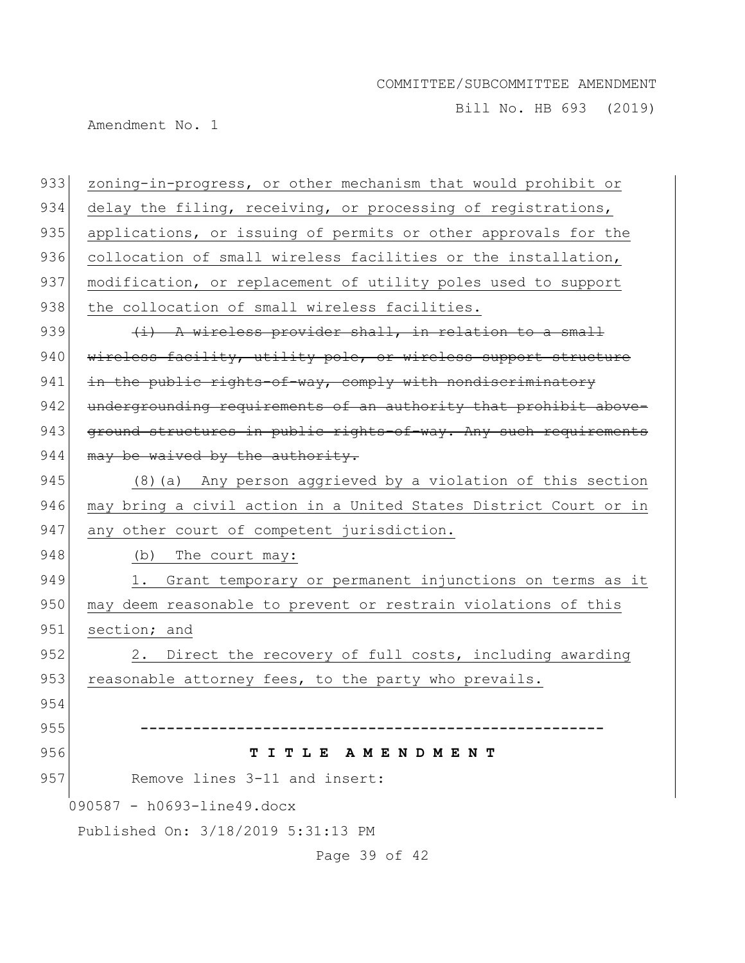Bill No. HB 693 (2019)

Amendment No. 1

090587 - h0693-line49.docx Published On: 3/18/2019 5:31:13 PM Page 39 of 42 933 zoning-in-progress, or other mechanism that would prohibit or 934 delay the filing, receiving, or processing of registrations, 935 applications, or issuing of permits or other approvals for the 936 collocation of small wireless facilities or the installation, 937 modification, or replacement of utility poles used to support 938 the collocation of small wireless facilities. 939  $(i)$  A wireless provider shall, in relation to a small 940  $\mid$  wireless facility, utility pole, or wireless support structure 941 in the public rights-of-way, comply with nondiscriminatory 942 undergrounding requirements of an authority that prohibit above-943 ground structures in public rights-of-way. Any such requirements  $944$  may be waived by the authority. 945 (8)(a) Any person aggrieved by a violation of this section 946 may bring a civil action in a United States District Court or in 947 any other court of competent jurisdiction. 948 (b) The court may: 949 1. Grant temporary or permanent injunctions on terms as it 950 may deem reasonable to prevent or restrain violations of this 951 section; and 952 2. Direct the recovery of full costs, including awarding 953 reasonable attorney fees, to the party who prevails. 954 955 **-----------------------------------------------------** 956 **T I T L E A M E N D M E N T** 957 Remove lines 3-11 and insert: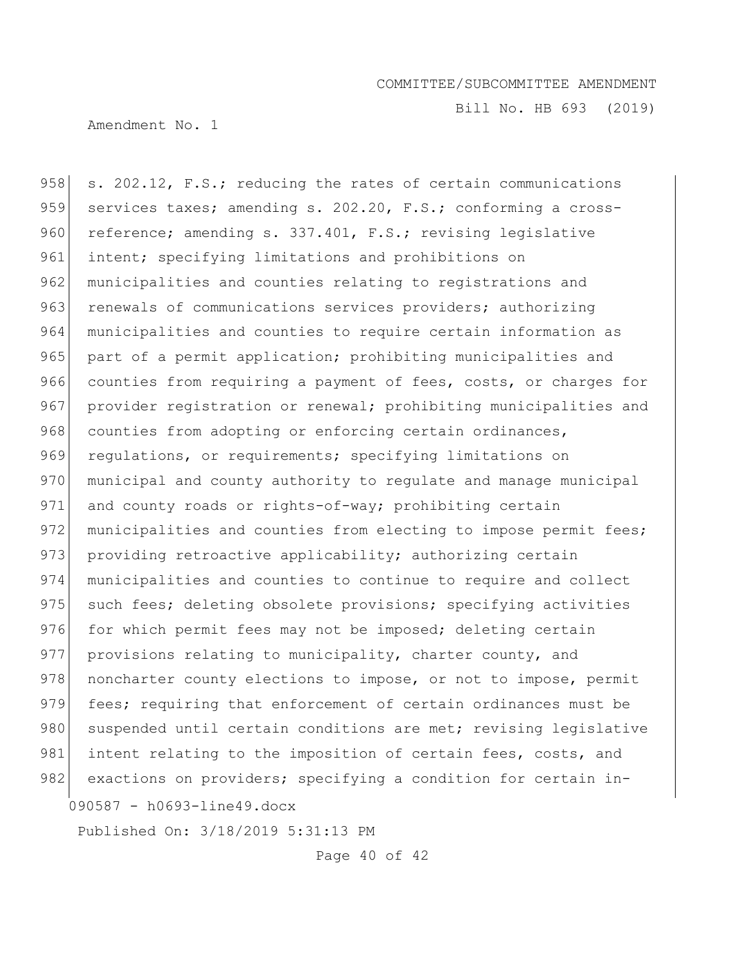Bill No. HB 693 (2019)

Amendment No. 1

090587 - h0693-line49.docx 958  $\vert$  s. 202.12, F.S.; reducing the rates of certain communications 959 services taxes; amending s. 202.20, F.S.; conforming a cross-960 reference; amending s. 337.401, F.S.; revising legislative 961 intent; specifying limitations and prohibitions on 962 municipalities and counties relating to registrations and 963 renewals of communications services providers; authorizing 964 municipalities and counties to require certain information as 965 | part of a permit application; prohibiting municipalities and 966 counties from requiring a payment of fees, costs, or charges for 967 provider registration or renewal; prohibiting municipalities and 968 counties from adopting or enforcing certain ordinances, 969 requiations, or requirements; specifying limitations on 970 municipal and county authority to regulate and manage municipal 971 and county roads or rights-of-way; prohibiting certain 972 municipalities and counties from electing to impose permit fees; 973 providing retroactive applicability; authorizing certain 974 municipalities and counties to continue to require and collect 975 such fees; deleting obsolete provisions; specifying activities 976 for which permit fees may not be imposed; deleting certain 977 provisions relating to municipality, charter county, and 978 noncharter county elections to impose, or not to impose, permit 979 fees; requiring that enforcement of certain ordinances must be 980 suspended until certain conditions are met; revising legislative 981 intent relating to the imposition of certain fees, costs, and 982 exactions on providers; specifying a condition for certain in-

Published On: 3/18/2019 5:31:13 PM

Page 40 of 42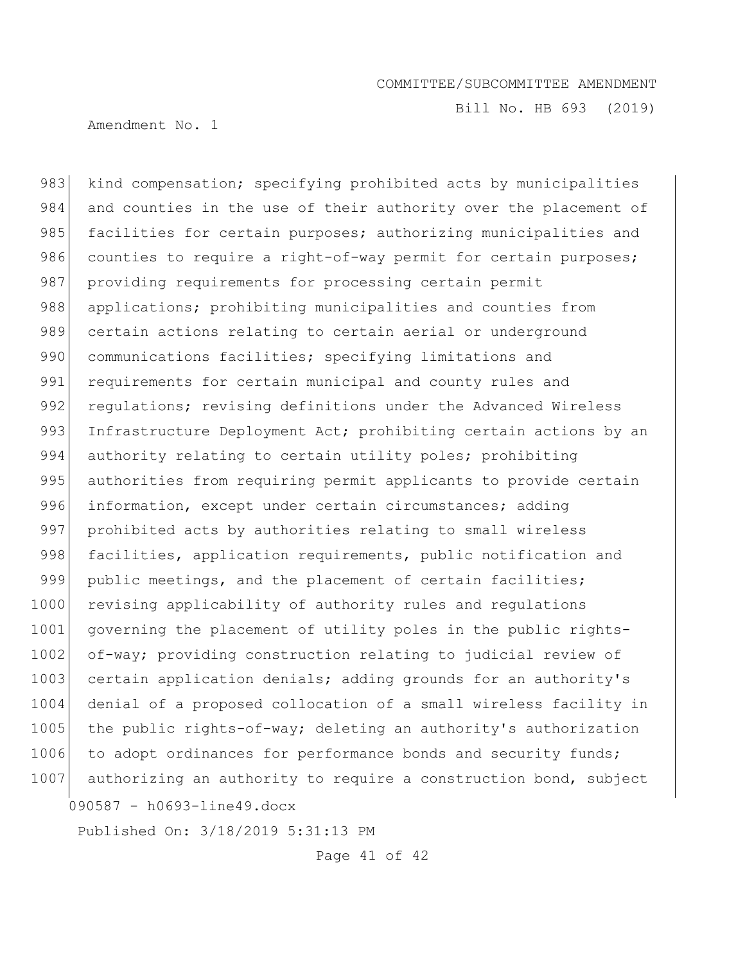Bill No. HB 693 (2019)

Amendment No. 1

090587 - h0693-line49.docx 983 kind compensation; specifying prohibited acts by municipalities 984 and counties in the use of their authority over the placement of 985 facilities for certain purposes; authorizing municipalities and 986 counties to require a right-of-way permit for certain purposes; 987 providing requirements for processing certain permit 988 applications; prohibiting municipalities and counties from 989 certain actions relating to certain aerial or underground 990 communications facilities; specifying limitations and 991 requirements for certain municipal and county rules and 992 requistions; revising definitions under the Advanced Wireless 993 Infrastructure Deployment Act; prohibiting certain actions by an 994 authority relating to certain utility poles; prohibiting 995 authorities from requiring permit applicants to provide certain 996 information, except under certain circumstances; adding 997 prohibited acts by authorities relating to small wireless 998 facilities, application requirements, public notification and 999 public meetings, and the placement of certain facilities; 1000 revising applicability of authority rules and regulations 1001 governing the placement of utility poles in the public rights-1002 of-way; providing construction relating to judicial review of 1003 certain application denials; adding grounds for an authority's 1004 denial of a proposed collocation of a small wireless facility in 1005 the public rights-of-way; deleting an authority's authorization 1006 to adopt ordinances for performance bonds and security funds; 1007 authorizing an authority to require a construction bond, subject

Published On: 3/18/2019 5:31:13 PM

Page 41 of 42